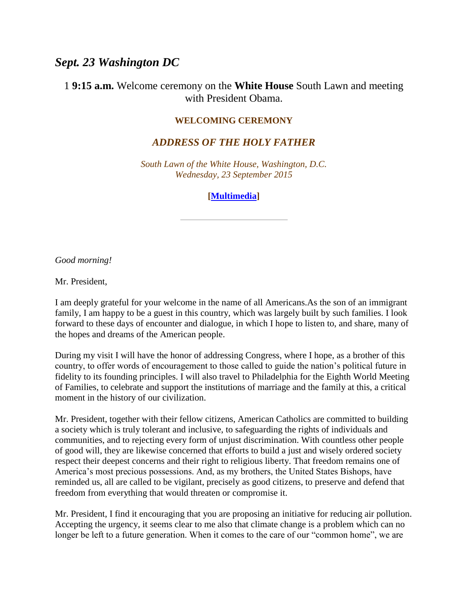# *Sept. 23 Washington DC*

## 1 **9:15 a.m.** Welcome ceremony on the **White House** South Lawn and meeting with President Obama.

#### **WELCOMING CEREMONY**

## *ADDRESS OF THE HOLY FATHER*

*South Lawn of the White House, Washington, D.C. Wednesday, 23 September 2015*

#### **[\[Multimedia\]](http://w2.vatican.va/content/francesco/en/events/event.dir.html/content/vaticanevents/en/2015/9/23/usabenvenuto.html)**

*Good morning!*

Mr. President,

I am deeply grateful for your welcome in the name of all Americans.As the son of an immigrant family, I am happy to be a guest in this country, which was largely built by such families. I look forward to these days of encounter and dialogue, in which I hope to listen to, and share, many of the hopes and dreams of the American people.

During my visit I will have the honor of addressing Congress, where I hope, as a brother of this country, to offer words of encouragement to those called to guide the nation's political future in fidelity to its founding principles. I will also travel to Philadelphia for the Eighth World Meeting of Families, to celebrate and support the institutions of marriage and the family at this, a critical moment in the history of our civilization.

Mr. President, together with their fellow citizens, American Catholics are committed to building a society which is truly tolerant and inclusive, to safeguarding the rights of individuals and communities, and to rejecting every form of unjust discrimination. With countless other people of good will, they are likewise concerned that efforts to build a just and wisely ordered society respect their deepest concerns and their right to religious liberty. That freedom remains one of America's most precious possessions. And, as my brothers, the United States Bishops, have reminded us, all are called to be vigilant, precisely as good citizens, to preserve and defend that freedom from everything that would threaten or compromise it.

Mr. President, I find it encouraging that you are proposing an initiative for reducing air pollution. Accepting the urgency, it seems clear to me also that climate change is a problem which can no longer be left to a future generation. When it comes to the care of our "common home", we are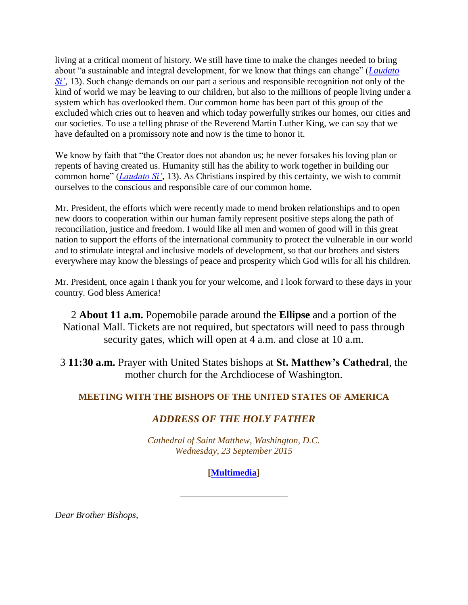living at a critical moment of history. We still have time to make the changes needed to bring about "a sustainable and integral development, for we know that things can change" (*[Laudato](http://w2.vatican.va/content/francesco/en/encyclicals/documents/papa-francesco_20150524_enciclica-laudato-si.html)  [Si'](http://w2.vatican.va/content/francesco/en/encyclicals/documents/papa-francesco_20150524_enciclica-laudato-si.html)*, 13). Such change demands on our part a serious and responsible recognition not only of the kind of world we may be leaving to our children, but also to the millions of people living under a system which has overlooked them. Our common home has been part of this group of the excluded which cries out to heaven and which today powerfully strikes our homes, our cities and our societies. To use a telling phrase of the Reverend Martin Luther King, we can say that we have defaulted on a promissory note and now is the time to honor it.

We know by faith that "the Creator does not abandon us; he never forsakes his loving plan or repents of having created us. Humanity still has the ability to work together in building our common home" (*[Laudato Si'](http://w2.vatican.va/content/francesco/en/encyclicals/documents/papa-francesco_20150524_enciclica-laudato-si.html)*, 13). As Christians inspired by this certainty, we wish to commit ourselves to the conscious and responsible care of our common home.

Mr. President, the efforts which were recently made to mend broken relationships and to open new doors to cooperation within our human family represent positive steps along the path of reconciliation, justice and freedom. I would like all men and women of good will in this great nation to support the efforts of the international community to protect the vulnerable in our world and to stimulate integral and inclusive models of development, so that our brothers and sisters everywhere may know the blessings of peace and prosperity which God wills for all his children.

Mr. President, once again I thank you for your welcome, and I look forward to these days in your country. God bless America!

2 **About 11 a.m.** Popemobile parade around the **Ellipse** and a portion of the National Mall. Tickets are not required, but spectators will need to pass through security gates, which will open at 4 a.m. and close at 10 a.m.

3 **11:30 a.m.** Prayer with United States bishops at **St. Matthew's Cathedral**, the mother church for the Archdiocese of Washington.

## **MEETING WITH THE BISHOPS OF THE UNITED STATES OF AMERICA**

# *ADDRESS OF THE HOLY FATHER*

*Cathedral of Saint Matthew, Washington, D.C. Wednesday, 23 September 2015*

## **[\[Multimedia\]](http://w2.vatican.va/content/francesco/en/events/event.dir.html/content/vaticanevents/en/2015/9/23/usavescovi.html)**

*Dear Brother Bishops,*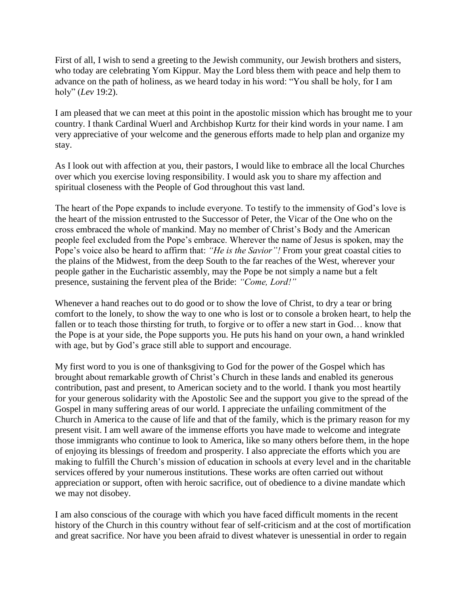First of all, I wish to send a greeting to the Jewish community, our Jewish brothers and sisters, who today are celebrating Yom Kippur. May the Lord bless them with peace and help them to advance on the path of holiness, as we heard today in his word: "You shall be holy, for I am holy" (*Lev* 19:2).

I am pleased that we can meet at this point in the apostolic mission which has brought me to your country. I thank Cardinal Wuerl and Archbishop Kurtz for their kind words in your name. I am very appreciative of your welcome and the generous efforts made to help plan and organize my stay.

As I look out with affection at you, their pastors, I would like to embrace all the local Churches over which you exercise loving responsibility. I would ask you to share my affection and spiritual closeness with the People of God throughout this vast land.

The heart of the Pope expands to include everyone. To testify to the immensity of God's love is the heart of the mission entrusted to the Successor of Peter, the Vicar of the One who on the cross embraced the whole of mankind. May no member of Christ's Body and the American people feel excluded from the Pope's embrace. Wherever the name of Jesus is spoken, may the Pope's voice also be heard to affirm that: *"He is the Savior"!* From your great coastal cities to the plains of the Midwest, from the deep South to the far reaches of the West, wherever your people gather in the Eucharistic assembly, may the Pope be not simply a name but a felt presence, sustaining the fervent plea of the Bride: *"Come, Lord!"*

Whenever a hand reaches out to do good or to show the love of Christ, to dry a tear or bring comfort to the lonely, to show the way to one who is lost or to console a broken heart, to help the fallen or to teach those thirsting for truth, to forgive or to offer a new start in God... know that the Pope is at your side, the Pope supports you. He puts his hand on your own, a hand wrinkled with age, but by God's grace still able to support and encourage.

My first word to you is one of thanksgiving to God for the power of the Gospel which has brought about remarkable growth of Christ's Church in these lands and enabled its generous contribution, past and present, to American society and to the world. I thank you most heartily for your generous solidarity with the Apostolic See and the support you give to the spread of the Gospel in many suffering areas of our world. I appreciate the unfailing commitment of the Church in America to the cause of life and that of the family, which is the primary reason for my present visit. I am well aware of the immense efforts you have made to welcome and integrate those immigrants who continue to look to America, like so many others before them, in the hope of enjoying its blessings of freedom and prosperity. I also appreciate the efforts which you are making to fulfill the Church's mission of education in schools at every level and in the charitable services offered by your numerous institutions. These works are often carried out without appreciation or support, often with heroic sacrifice, out of obedience to a divine mandate which we may not disobey.

I am also conscious of the courage with which you have faced difficult moments in the recent history of the Church in this country without fear of self-criticism and at the cost of mortification and great sacrifice. Nor have you been afraid to divest whatever is unessential in order to regain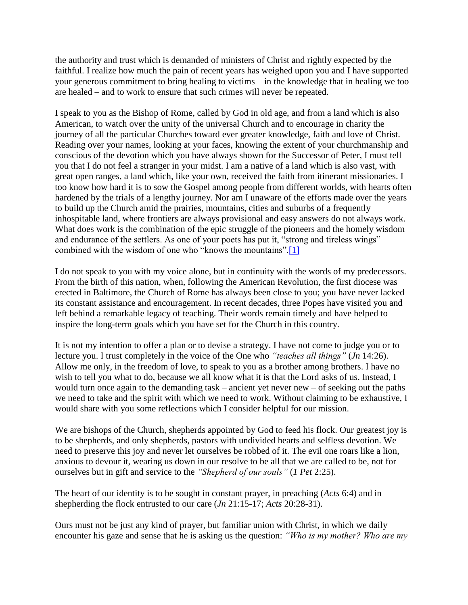the authority and trust which is demanded of ministers of Christ and rightly expected by the faithful. I realize how much the pain of recent years has weighed upon you and I have supported your generous commitment to bring healing to victims – in the knowledge that in healing we too are healed – and to work to ensure that such crimes will never be repeated.

I speak to you as the Bishop of Rome, called by God in old age, and from a land which is also American, to watch over the unity of the universal Church and to encourage in charity the journey of all the particular Churches toward ever greater knowledge, faith and love of Christ. Reading over your names, looking at your faces, knowing the extent of your churchmanship and conscious of the devotion which you have always shown for the Successor of Peter, I must tell you that I do not feel a stranger in your midst. I am a native of a land which is also vast, with great open ranges, a land which, like your own, received the faith from itinerant missionaries. I too know how hard it is to sow the Gospel among people from different worlds, with hearts often hardened by the trials of a lengthy journey. Nor am I unaware of the efforts made over the years to build up the Church amid the prairies, mountains, cities and suburbs of a frequently inhospitable land, where frontiers are always provisional and easy answers do not always work. What does work is the combination of the epic struggle of the pioneers and the homely wisdom and endurance of the settlers. As one of your poets has put it, "strong and tireless wings" combined with the wisdom of one who "knows the mountains".<sup>[1]</sup>

I do not speak to you with my voice alone, but in continuity with the words of my predecessors. From the birth of this nation, when, following the American Revolution, the first diocese was erected in Baltimore, the Church of Rome has always been close to you; you have never lacked its constant assistance and encouragement. In recent decades, three Popes have visited you and left behind a remarkable legacy of teaching. Their words remain timely and have helped to inspire the long-term goals which you have set for the Church in this country.

It is not my intention to offer a plan or to devise a strategy. I have not come to judge you or to lecture you. I trust completely in the voice of the One who *"teaches all things"* (*Jn* 14:26). Allow me only, in the freedom of love, to speak to you as a brother among brothers. I have no wish to tell you what to do, because we all know what it is that the Lord asks of us. Instead, I would turn once again to the demanding task – ancient yet never new – of seeking out the paths we need to take and the spirit with which we need to work. Without claiming to be exhaustive, I would share with you some reflections which I consider helpful for our mission.

We are bishops of the Church, shepherds appointed by God to feed his flock. Our greatest joy is to be shepherds, and only shepherds, pastors with undivided hearts and selfless devotion. We need to preserve this joy and never let ourselves be robbed of it. The evil one roars like a lion, anxious to devour it, wearing us down in our resolve to be all that we are called to be, not for ourselves but in gift and service to the *"Shepherd of our souls"* (*1 Pet* 2:25).

The heart of our identity is to be sought in constant prayer, in preaching (*Acts* 6:4) and in shepherding the flock entrusted to our care (*Jn* 21:15-17; *Acts* 20:28-31).

Ours must not be just any kind of prayer, but familiar union with Christ, in which we daily encounter his gaze and sense that he is asking us the question: *"Who is my mother? Who are my*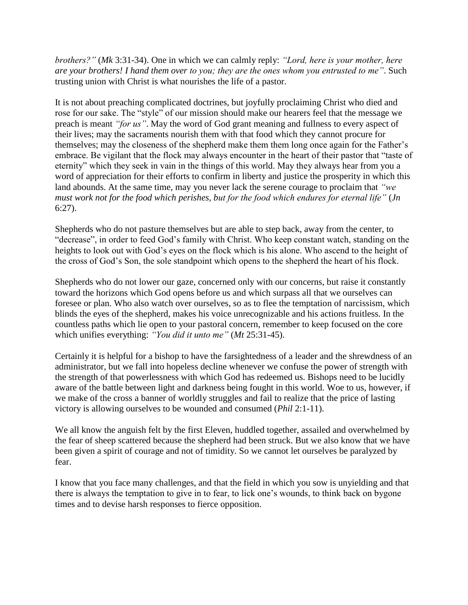*brothers?"* (*Mk* 3:31-34). One in which we can calmly reply: *"Lord, here is your mother, here are your brothers! I hand them over to you; they are the ones whom you entrusted to me"*. Such trusting union with Christ is what nourishes the life of a pastor.

It is not about preaching complicated doctrines, but joyfully proclaiming Christ who died and rose for our sake. The "style" of our mission should make our hearers feel that the message we preach is meant *"for us"*. May the word of God grant meaning and fullness to every aspect of their lives; may the sacraments nourish them with that food which they cannot procure for themselves; may the closeness of the shepherd make them them long once again for the Father's embrace. Be vigilant that the flock may always encounter in the heart of their pastor that "taste of eternity" which they seek in vain in the things of this world. May they always hear from you a word of appreciation for their efforts to confirm in liberty and justice the prosperity in which this land abounds. At the same time, may you never lack the serene courage to proclaim that *"we must work not for the food which perishes, but for the food which endures for eternal life"* (*Jn*  6:27).

Shepherds who do not pasture themselves but are able to step back, away from the center, to "decrease", in order to feed God's family with Christ. Who keep constant watch, standing on the heights to look out with God's eyes on the flock which is his alone. Who ascend to the height of the cross of God's Son, the sole standpoint which opens to the shepherd the heart of his flock.

Shepherds who do not lower our gaze, concerned only with our concerns, but raise it constantly toward the horizons which God opens before us and which surpass all that we ourselves can foresee or plan. Who also watch over ourselves, so as to flee the temptation of narcissism, which blinds the eyes of the shepherd, makes his voice unrecognizable and his actions fruitless. In the countless paths which lie open to your pastoral concern, remember to keep focused on the core which unifies everything: *"You did it unto me"* (*Mt* 25:31-45).

Certainly it is helpful for a bishop to have the farsightedness of a leader and the shrewdness of an administrator, but we fall into hopeless decline whenever we confuse the power of strength with the strength of that powerlessness with which God has redeemed us. Bishops need to be lucidly aware of the battle between light and darkness being fought in this world. Woe to us, however, if we make of the cross a banner of worldly struggles and fail to realize that the price of lasting victory is allowing ourselves to be wounded and consumed (*Phil* 2:1-11).

We all know the anguish felt by the first Eleven, huddled together, assailed and overwhelmed by the fear of sheep scattered because the shepherd had been struck. But we also know that we have been given a spirit of courage and not of timidity. So we cannot let ourselves be paralyzed by fear.

I know that you face many challenges, and that the field in which you sow is unyielding and that there is always the temptation to give in to fear, to lick one's wounds, to think back on bygone times and to devise harsh responses to fierce opposition.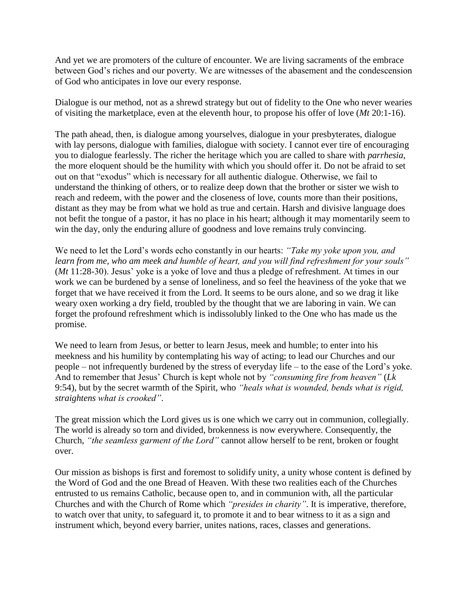And yet we are promoters of the culture of encounter. We are living sacraments of the embrace between God's riches and our poverty. We are witnesses of the abasement and the condescension of God who anticipates in love our every response.

Dialogue is our method, not as a shrewd strategy but out of fidelity to the One who never wearies of visiting the marketplace, even at the eleventh hour, to propose his offer of love (*Mt* 20:1-16).

The path ahead, then, is dialogue among yourselves, dialogue in your presbyterates, dialogue with lay persons, dialogue with families, dialogue with society. I cannot ever tire of encouraging you to dialogue fearlessly. The richer the heritage which you are called to share with *parrhesia*, the more eloquent should be the humility with which you should offer it. Do not be afraid to set out on that "exodus" which is necessary for all authentic dialogue. Otherwise, we fail to understand the thinking of others, or to realize deep down that the brother or sister we wish to reach and redeem, with the power and the closeness of love, counts more than their positions, distant as they may be from what we hold as true and certain. Harsh and divisive language does not befit the tongue of a pastor, it has no place in his heart; although it may momentarily seem to win the day, only the enduring allure of goodness and love remains truly convincing.

We need to let the Lord's words echo constantly in our hearts: *"Take my yoke upon you, and learn from me, who am meek and humble of heart, and you will find refreshment for your souls"*  (*Mt* 11:28-30). Jesus' yoke is a yoke of love and thus a pledge of refreshment. At times in our work we can be burdened by a sense of loneliness, and so feel the heaviness of the yoke that we forget that we have received it from the Lord. It seems to be ours alone, and so we drag it like weary oxen working a dry field, troubled by the thought that we are laboring in vain. We can forget the profound refreshment which is indissolubly linked to the One who has made us the promise.

We need to learn from Jesus, or better to learn Jesus, meek and humble; to enter into his meekness and his humility by contemplating his way of acting; to lead our Churches and our people – not infrequently burdened by the stress of everyday life – to the ease of the Lord's yoke. And to remember that Jesus' Church is kept whole not by *"consuming fire from heaven"* (*Lk*  9:54), but by the secret warmth of the Spirit, who *"heals what is wounded, bends what is rigid, straightens what is crooked"*.

The great mission which the Lord gives us is one which we carry out in communion, collegially. The world is already so torn and divided, brokenness is now everywhere. Consequently, the Church, *"the seamless garment of the Lord"* cannot allow herself to be rent, broken or fought over.

Our mission as bishops is first and foremost to solidify unity, a unity whose content is defined by the Word of God and the one Bread of Heaven. With these two realities each of the Churches entrusted to us remains Catholic, because open to, and in communion with, all the particular Churches and with the Church of Rome which *"presides in charity"*. It is imperative, therefore, to watch over that unity, to safeguard it, to promote it and to bear witness to it as a sign and instrument which, beyond every barrier, unites nations, races, classes and generations.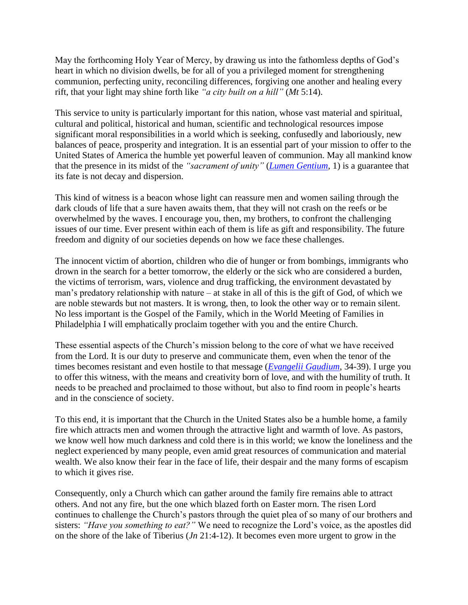May the forthcoming Holy Year of Mercy, by drawing us into the fathomless depths of God's heart in which no division dwells, be for all of you a privileged moment for strengthening communion, perfecting unity, reconciling differences, forgiving one another and healing every rift, that your light may shine forth like *"a city built on a hill"* (*Mt* 5:14).

This service to unity is particularly important for this nation, whose vast material and spiritual, cultural and political, historical and human, scientific and technological resources impose significant moral responsibilities in a world which is seeking, confusedly and laboriously, new balances of peace, prosperity and integration. It is an essential part of your mission to offer to the United States of America the humble yet powerful leaven of communion. May all mankind know that the presence in its midst of the *"sacrament of unity"* (*[Lumen Gentium](http://www.vatican.va/archive/hist_councils/ii_vatican_council/documents/vat-ii_const_19641121_lumen-gentium_en.html)*, 1) is a guarantee that its fate is not decay and dispersion.

This kind of witness is a beacon whose light can reassure men and women sailing through the dark clouds of life that a sure haven awaits them, that they will not crash on the reefs or be overwhelmed by the waves. I encourage you, then, my brothers, to confront the challenging issues of our time. Ever present within each of them is life as gift and responsibility. The future freedom and dignity of our societies depends on how we face these challenges.

The innocent victim of abortion, children who die of hunger or from bombings, immigrants who drown in the search for a better tomorrow, the elderly or the sick who are considered a burden, the victims of terrorism, wars, violence and drug trafficking, the environment devastated by man's predatory relationship with nature – at stake in all of this is the gift of God, of which we are noble stewards but not masters. It is wrong, then, to look the other way or to remain silent. No less important is the Gospel of the Family, which in the World Meeting of Families in Philadelphia I will emphatically proclaim together with you and the entire Church.

These essential aspects of the Church's mission belong to the core of what we have received from the Lord. It is our duty to preserve and communicate them, even when the tenor of the times becomes resistant and even hostile to that message (*[Evangelii Gaudium](http://w2.vatican.va/content/francesco/en/apost_exhortations/documents/papa-francesco_esortazione-ap_20131124_evangelii-gaudium.html)*, 34-39). I urge you to offer this witness, with the means and creativity born of love, and with the humility of truth. It needs to be preached and proclaimed to those without, but also to find room in people's hearts and in the conscience of society.

To this end, it is important that the Church in the United States also be a humble home, a family fire which attracts men and women through the attractive light and warmth of love. As pastors, we know well how much darkness and cold there is in this world; we know the loneliness and the neglect experienced by many people, even amid great resources of communication and material wealth. We also know their fear in the face of life, their despair and the many forms of escapism to which it gives rise.

Consequently, only a Church which can gather around the family fire remains able to attract others. And not any fire, but the one which blazed forth on Easter morn. The risen Lord continues to challenge the Church's pastors through the quiet plea of so many of our brothers and sisters: *"Have you something to eat?"* We need to recognize the Lord's voice, as the apostles did on the shore of the lake of Tiberius (*Jn* 21:4-12). It becomes even more urgent to grow in the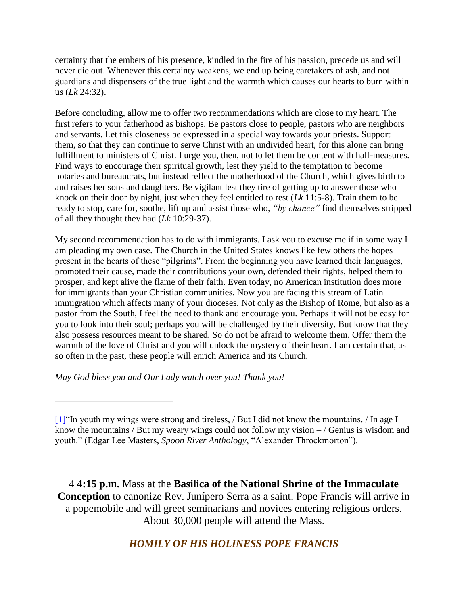certainty that the embers of his presence, kindled in the fire of his passion, precede us and will never die out. Whenever this certainty weakens, we end up being caretakers of ash, and not guardians and dispensers of the true light and the warmth which causes our hearts to burn within us (*Lk* 24:32).

Before concluding, allow me to offer two recommendations which are close to my heart. The first refers to your fatherhood as bishops. Be pastors close to people, pastors who are neighbors and servants. Let this closeness be expressed in a special way towards your priests. Support them, so that they can continue to serve Christ with an undivided heart, for this alone can bring fulfillment to ministers of Christ. I urge you, then, not to let them be content with half-measures. Find ways to encourage their spiritual growth, lest they yield to the temptation to become notaries and bureaucrats, but instead reflect the motherhood of the Church, which gives birth to and raises her sons and daughters. Be vigilant lest they tire of getting up to answer those who knock on their door by night, just when they feel entitled to rest (*Lk* 11:5-8). Train them to be ready to stop, care for, soothe, lift up and assist those who, *"by chance"* find themselves stripped of all they thought they had (*Lk* 10:29-37).

My second recommendation has to do with immigrants. I ask you to excuse me if in some way I am pleading my own case. The Church in the United States knows like few others the hopes present in the hearts of these "pilgrims". From the beginning you have learned their languages, promoted their cause, made their contributions your own, defended their rights, helped them to prosper, and kept alive the flame of their faith. Even today, no American institution does more for immigrants than your Christian communities. Now you are facing this stream of Latin immigration which affects many of your dioceses. Not only as the Bishop of Rome, but also as a pastor from the South, I feel the need to thank and encourage you. Perhaps it will not be easy for you to look into their soul; perhaps you will be challenged by their diversity. But know that they also possess resources meant to be shared. So do not be afraid to welcome them. Offer them the warmth of the love of Christ and you will unlock the mystery of their heart. I am certain that, as so often in the past, these people will enrich America and its Church.

*May God bless you and Our Lady watch over you! Thank you!*

4 **4:15 p.m.** Mass at the **Basilica of the National Shrine of the Immaculate Conception** to canonize Rev. Junípero Serra as a saint. Pope Francis will arrive in a popemobile and will greet seminarians and novices entering religious orders. About 30,000 people will attend the Mass.

[<sup>\[1\]&</sup>quot;](http://w2.vatican.va/content/francesco/en/speeches/2015/september/documents/papa-francesco_20150923_usa-vescovi.html#_ftnref1)In youth my wings were strong and tireless, / But I did not know the mountains. / In age I know the mountains / But my weary wings could not follow my vision  $-$  / Genius is wisdom and youth." (Edgar Lee Masters, *Spoon River Anthology*, "Alexander Throckmorton").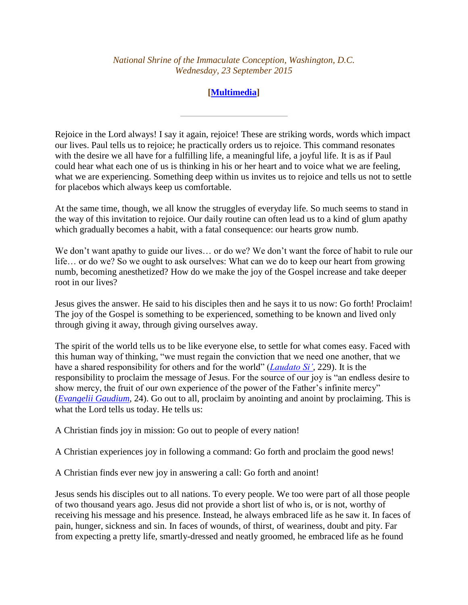*National Shrine of the Immaculate Conception, Washington, D.C. Wednesday, 23 September 2015*

## **[\[Multimedia\]](http://w2.vatican.va/content/francesco/en/events/event.dir.html/content/vaticanevents/en/2015/9/23/omeliawashingtondc.html)**

Rejoice in the Lord always! I say it again, rejoice! These are striking words, words which impact our lives. Paul tells us to rejoice; he practically orders us to rejoice. This command resonates with the desire we all have for a fulfilling life, a meaningful life, a joyful life. It is as if Paul could hear what each one of us is thinking in his or her heart and to voice what we are feeling, what we are experiencing. Something deep within us invites us to rejoice and tells us not to settle for placebos which always keep us comfortable.

At the same time, though, we all know the struggles of everyday life. So much seems to stand in the way of this invitation to rejoice. Our daily routine can often lead us to a kind of glum apathy which gradually becomes a habit, with a fatal consequence: our hearts grow numb.

We don't want apathy to guide our lives... or do we? We don't want the force of habit to rule our life… or do we? So we ought to ask ourselves: What can we do to keep our heart from growing numb, becoming anesthetized? How do we make the joy of the Gospel increase and take deeper root in our lives?

Jesus gives the answer. He said to his disciples then and he says it to us now: Go forth! Proclaim! The joy of the Gospel is something to be experienced, something to be known and lived only through giving it away, through giving ourselves away.

The spirit of the world tells us to be like everyone else, to settle for what comes easy. Faced with this human way of thinking, "we must regain the conviction that we need one another, that we have a shared responsibility for others and for the world" (*[Laudato Si'](http://w2.vatican.va/content/francesco/en/encyclicals/documents/papa-francesco_20150524_enciclica-laudato-si.html)*, 229). It is the responsibility to proclaim the message of Jesus. For the source of our joy is "an endless desire to show mercy, the fruit of our own experience of the power of the Father's infinite mercy" (*[Evangelii Gaudium](http://w2.vatican.va/content/francesco/en/apost_exhortations/documents/papa-francesco_esortazione-ap_20131124_evangelii-gaudium.html)*, 24). Go out to all, proclaim by anointing and anoint by proclaiming. This is what the Lord tells us today. He tells us:

A Christian finds joy in mission: Go out to people of every nation!

A Christian experiences joy in following a command: Go forth and proclaim the good news!

A Christian finds ever new joy in answering a call: Go forth and anoint!

Jesus sends his disciples out to all nations. To every people. We too were part of all those people of two thousand years ago. Jesus did not provide a short list of who is, or is not, worthy of receiving his message and his presence. Instead, he always embraced life as he saw it. In faces of pain, hunger, sickness and sin. In faces of wounds, of thirst, of weariness, doubt and pity. Far from expecting a pretty life, smartly-dressed and neatly groomed, he embraced life as he found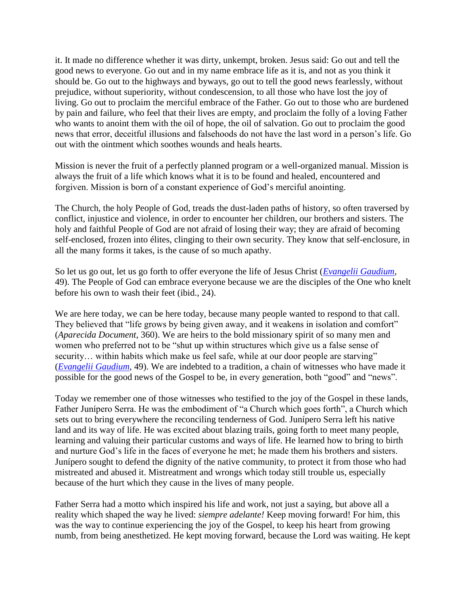it. It made no difference whether it was dirty, unkempt, broken. Jesus said: Go out and tell the good news to everyone. Go out and in my name embrace life as it is, and not as you think it should be. Go out to the highways and byways, go out to tell the good news fearlessly, without prejudice, without superiority, without condescension, to all those who have lost the joy of living. Go out to proclaim the merciful embrace of the Father. Go out to those who are burdened by pain and failure, who feel that their lives are empty, and proclaim the folly of a loving Father who wants to anoint them with the oil of hope, the oil of salvation. Go out to proclaim the good news that error, deceitful illusions and falsehoods do not have the last word in a person's life. Go out with the ointment which soothes wounds and heals hearts.

Mission is never the fruit of a perfectly planned program or a well-organized manual. Mission is always the fruit of a life which knows what it is to be found and healed, encountered and forgiven. Mission is born of a constant experience of God's merciful anointing.

The Church, the holy People of God, treads the dust-laden paths of history, so often traversed by conflict, injustice and violence, in order to encounter her children, our brothers and sisters. The holy and faithful People of God are not afraid of losing their way; they are afraid of becoming self-enclosed, frozen into élites, clinging to their own security. They know that self-enclosure, in all the many forms it takes, is the cause of so much apathy.

So let us go out, let us go forth to offer everyone the life of Jesus Christ (*[Evangelii Gaudium](http://w2.vatican.va/content/francesco/en/apost_exhortations/documents/papa-francesco_esortazione-ap_20131124_evangelii-gaudium.html)*, 49). The People of God can embrace everyone because we are the disciples of the One who knelt before his own to wash their feet (ibid., 24).

We are here today, we can be here today, because many people wanted to respond to that call. They believed that "life grows by being given away, and it weakens in isolation and comfort" (*Aparecida Document*, 360). We are heirs to the bold missionary spirit of so many men and women who preferred not to be "shut up within structures which give us a false sense of security... within habits which make us feel safe, while at our door people are starving" (*[Evangelii Gaudium](http://w2.vatican.va/content/francesco/en/apost_exhortations/documents/papa-francesco_esortazione-ap_20131124_evangelii-gaudium.html)*, 49). We are indebted to a tradition, a chain of witnesses who have made it possible for the good news of the Gospel to be, in every generation, both "good" and "news".

Today we remember one of those witnesses who testified to the joy of the Gospel in these lands, Father Junípero Serra. He was the embodiment of "a Church which goes forth", a Church which sets out to bring everywhere the reconciling tenderness of God. Junípero Serra left his native land and its way of life. He was excited about blazing trails, going forth to meet many people, learning and valuing their particular customs and ways of life. He learned how to bring to birth and nurture God's life in the faces of everyone he met; he made them his brothers and sisters. Junípero sought to defend the dignity of the native community, to protect it from those who had mistreated and abused it. Mistreatment and wrongs which today still trouble us, especially because of the hurt which they cause in the lives of many people.

Father Serra had a motto which inspired his life and work, not just a saying, but above all a reality which shaped the way he lived: *siempre adelante!* Keep moving forward! For him, this was the way to continue experiencing the joy of the Gospel, to keep his heart from growing numb, from being anesthetized. He kept moving forward, because the Lord was waiting. He kept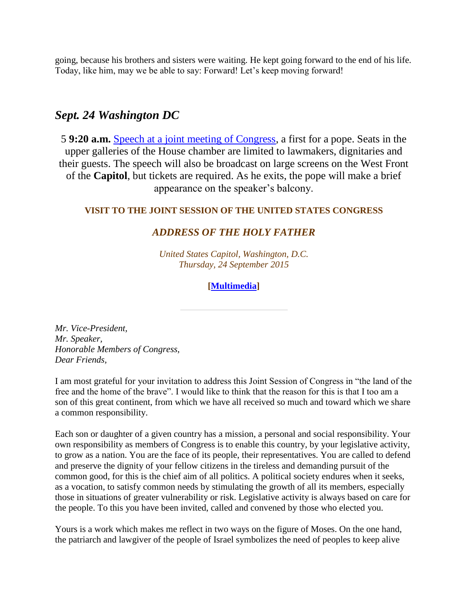going, because his brothers and sisters were waiting. He kept going forward to the end of his life. Today, like him, may we be able to say: Forward! Let's keep moving forward!

# *Sept. 24 Washington DC*

5 **9:20 a.m.** [Speech at a joint meeting of Congress,](http://www.nytimes.com/interactive/2015/09/24/us/pope-francis-address-congress.html) a first for a pope. Seats in the upper galleries of the House chamber are limited to lawmakers, dignitaries and their guests. The speech will also be broadcast on large screens on the West Front of the **Capitol**, but tickets are required. As he exits, the pope will make a brief appearance on the speaker's balcony.

#### **VISIT TO THE JOINT SESSION OF THE UNITED STATES CONGRESS**

## *ADDRESS OF THE HOLY FATHER*

*United States Capitol, Washington, D.C. Thursday, 24 September 2015*

#### **[\[Multimedia\]](http://w2.vatican.va/content/francesco/en/events/event.dir.html/content/vaticanevents/en/2015/9/24/usacongress.html)**

*Mr. Vice-President, Mr. Speaker, Honorable Members of Congress, Dear Friends,*

I am most grateful for your invitation to address this Joint Session of Congress in "the land of the free and the home of the brave". I would like to think that the reason for this is that I too am a son of this great continent, from which we have all received so much and toward which we share a common responsibility.

Each son or daughter of a given country has a mission, a personal and social responsibility. Your own responsibility as members of Congress is to enable this country, by your legislative activity, to grow as a nation. You are the face of its people, their representatives. You are called to defend and preserve the dignity of your fellow citizens in the tireless and demanding pursuit of the common good, for this is the chief aim of all politics. A political society endures when it seeks, as a vocation, to satisfy common needs by stimulating the growth of all its members, especially those in situations of greater vulnerability or risk. Legislative activity is always based on care for the people. To this you have been invited, called and convened by those who elected you.

Yours is a work which makes me reflect in two ways on the figure of Moses. On the one hand, the patriarch and lawgiver of the people of Israel symbolizes the need of peoples to keep alive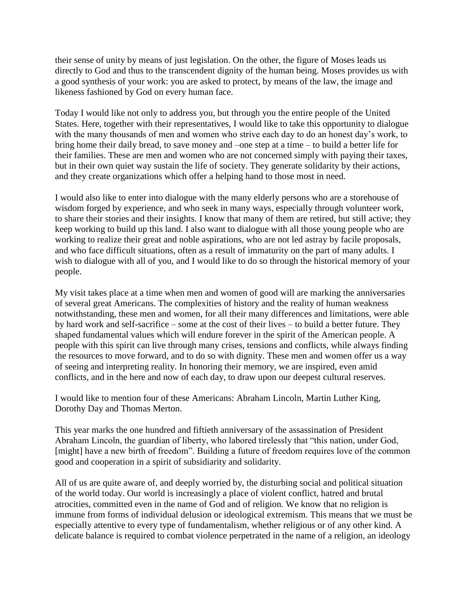their sense of unity by means of just legislation. On the other, the figure of Moses leads us directly to God and thus to the transcendent dignity of the human being. Moses provides us with a good synthesis of your work: you are asked to protect, by means of the law, the image and likeness fashioned by God on every human face.

Today I would like not only to address you, but through you the entire people of the United States. Here, together with their representatives, I would like to take this opportunity to dialogue with the many thousands of men and women who strive each day to do an honest day's work, to bring home their daily bread, to save money and –one step at a time – to build a better life for their families. These are men and women who are not concerned simply with paying their taxes, but in their own quiet way sustain the life of society. They generate solidarity by their actions, and they create organizations which offer a helping hand to those most in need.

I would also like to enter into dialogue with the many elderly persons who are a storehouse of wisdom forged by experience, and who seek in many ways, especially through volunteer work, to share their stories and their insights. I know that many of them are retired, but still active; they keep working to build up this land. I also want to dialogue with all those young people who are working to realize their great and noble aspirations, who are not led astray by facile proposals, and who face difficult situations, often as a result of immaturity on the part of many adults. I wish to dialogue with all of you, and I would like to do so through the historical memory of your people.

My visit takes place at a time when men and women of good will are marking the anniversaries of several great Americans. The complexities of history and the reality of human weakness notwithstanding, these men and women, for all their many differences and limitations, were able by hard work and self-sacrifice – some at the cost of their lives – to build a better future. They shaped fundamental values which will endure forever in the spirit of the American people. A people with this spirit can live through many crises, tensions and conflicts, while always finding the resources to move forward, and to do so with dignity. These men and women offer us a way of seeing and interpreting reality. In honoring their memory, we are inspired, even amid conflicts, and in the here and now of each day, to draw upon our deepest cultural reserves.

I would like to mention four of these Americans: Abraham Lincoln, Martin Luther King, Dorothy Day and Thomas Merton.

This year marks the one hundred and fiftieth anniversary of the assassination of President Abraham Lincoln, the guardian of liberty, who labored tirelessly that "this nation, under God, [might] have a new birth of freedom". Building a future of freedom requires love of the common good and cooperation in a spirit of subsidiarity and solidarity.

All of us are quite aware of, and deeply worried by, the disturbing social and political situation of the world today. Our world is increasingly a place of violent conflict, hatred and brutal atrocities, committed even in the name of God and of religion. We know that no religion is immune from forms of individual delusion or ideological extremism. This means that we must be especially attentive to every type of fundamentalism, whether religious or of any other kind. A delicate balance is required to combat violence perpetrated in the name of a religion, an ideology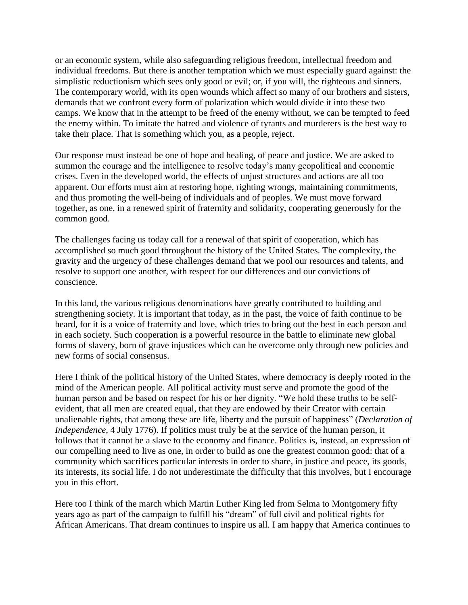or an economic system, while also safeguarding religious freedom, intellectual freedom and individual freedoms. But there is another temptation which we must especially guard against: the simplistic reductionism which sees only good or evil; or, if you will, the righteous and sinners. The contemporary world, with its open wounds which affect so many of our brothers and sisters, demands that we confront every form of polarization which would divide it into these two camps. We know that in the attempt to be freed of the enemy without, we can be tempted to feed the enemy within. To imitate the hatred and violence of tyrants and murderers is the best way to take their place. That is something which you, as a people, reject.

Our response must instead be one of hope and healing, of peace and justice. We are asked to summon the courage and the intelligence to resolve today's many geopolitical and economic crises. Even in the developed world, the effects of unjust structures and actions are all too apparent. Our efforts must aim at restoring hope, righting wrongs, maintaining commitments, and thus promoting the well-being of individuals and of peoples. We must move forward together, as one, in a renewed spirit of fraternity and solidarity, cooperating generously for the common good.

The challenges facing us today call for a renewal of that spirit of cooperation, which has accomplished so much good throughout the history of the United States. The complexity, the gravity and the urgency of these challenges demand that we pool our resources and talents, and resolve to support one another, with respect for our differences and our convictions of conscience.

In this land, the various religious denominations have greatly contributed to building and strengthening society. It is important that today, as in the past, the voice of faith continue to be heard, for it is a voice of fraternity and love, which tries to bring out the best in each person and in each society. Such cooperation is a powerful resource in the battle to eliminate new global forms of slavery, born of grave injustices which can be overcome only through new policies and new forms of social consensus.

Here I think of the political history of the United States, where democracy is deeply rooted in the mind of the American people. All political activity must serve and promote the good of the human person and be based on respect for his or her dignity. "We hold these truths to be selfevident, that all men are created equal, that they are endowed by their Creator with certain unalienable rights, that among these are life, liberty and the pursuit of happiness" (*Declaration of Independence*, 4 July 1776). If politics must truly be at the service of the human person, it follows that it cannot be a slave to the economy and finance. Politics is, instead, an expression of our compelling need to live as one, in order to build as one the greatest common good: that of a community which sacrifices particular interests in order to share, in justice and peace, its goods, its interests, its social life. I do not underestimate the difficulty that this involves, but I encourage you in this effort.

Here too I think of the march which Martin Luther King led from Selma to Montgomery fifty years ago as part of the campaign to fulfill his "dream" of full civil and political rights for African Americans. That dream continues to inspire us all. I am happy that America continues to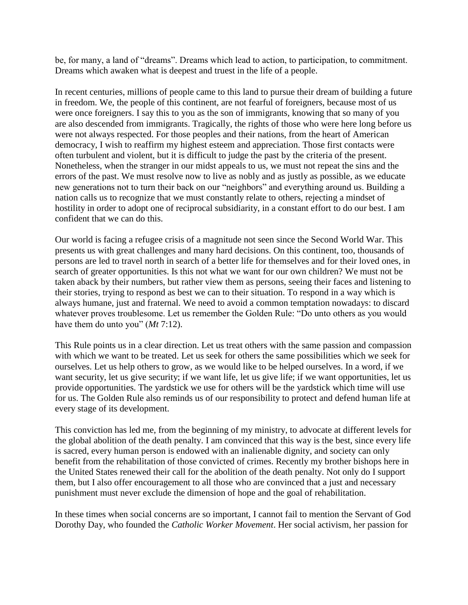be, for many, a land of "dreams". Dreams which lead to action, to participation, to commitment. Dreams which awaken what is deepest and truest in the life of a people.

In recent centuries, millions of people came to this land to pursue their dream of building a future in freedom. We, the people of this continent, are not fearful of foreigners, because most of us were once foreigners. I say this to you as the son of immigrants, knowing that so many of you are also descended from immigrants. Tragically, the rights of those who were here long before us were not always respected. For those peoples and their nations, from the heart of American democracy, I wish to reaffirm my highest esteem and appreciation. Those first contacts were often turbulent and violent, but it is difficult to judge the past by the criteria of the present. Nonetheless, when the stranger in our midst appeals to us, we must not repeat the sins and the errors of the past. We must resolve now to live as nobly and as justly as possible, as we educate new generations not to turn their back on our "neighbors" and everything around us. Building a nation calls us to recognize that we must constantly relate to others, rejecting a mindset of hostility in order to adopt one of reciprocal subsidiarity, in a constant effort to do our best. I am confident that we can do this.

Our world is facing a refugee crisis of a magnitude not seen since the Second World War. This presents us with great challenges and many hard decisions. On this continent, too, thousands of persons are led to travel north in search of a better life for themselves and for their loved ones, in search of greater opportunities. Is this not what we want for our own children? We must not be taken aback by their numbers, but rather view them as persons, seeing their faces and listening to their stories, trying to respond as best we can to their situation. To respond in a way which is always humane, just and fraternal. We need to avoid a common temptation nowadays: to discard whatever proves troublesome. Let us remember the Golden Rule: "Do unto others as you would have them do unto you" (*Mt* 7:12).

This Rule points us in a clear direction. Let us treat others with the same passion and compassion with which we want to be treated. Let us seek for others the same possibilities which we seek for ourselves. Let us help others to grow, as we would like to be helped ourselves. In a word, if we want security, let us give security; if we want life, let us give life; if we want opportunities, let us provide opportunities. The yardstick we use for others will be the yardstick which time will use for us. The Golden Rule also reminds us of our responsibility to protect and defend human life at every stage of its development.

This conviction has led me, from the beginning of my ministry, to advocate at different levels for the global abolition of the death penalty. I am convinced that this way is the best, since every life is sacred, every human person is endowed with an inalienable dignity, and society can only benefit from the rehabilitation of those convicted of crimes. Recently my brother bishops here in the United States renewed their call for the abolition of the death penalty. Not only do I support them, but I also offer encouragement to all those who are convinced that a just and necessary punishment must never exclude the dimension of hope and the goal of rehabilitation.

In these times when social concerns are so important, I cannot fail to mention the Servant of God Dorothy Day, who founded the *Catholic Worker Movement*. Her social activism, her passion for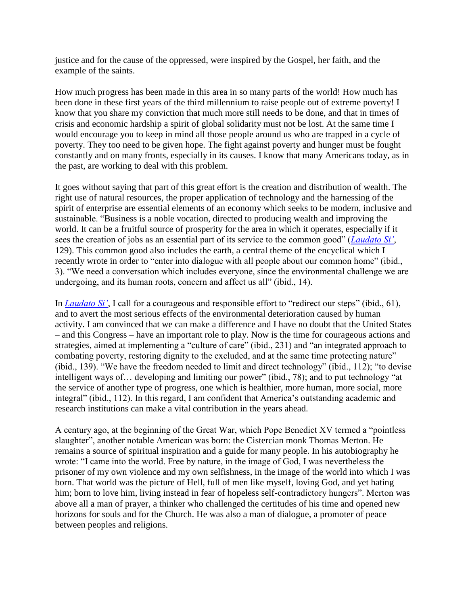justice and for the cause of the oppressed, were inspired by the Gospel, her faith, and the example of the saints.

How much progress has been made in this area in so many parts of the world! How much has been done in these first years of the third millennium to raise people out of extreme poverty! I know that you share my conviction that much more still needs to be done, and that in times of crisis and economic hardship a spirit of global solidarity must not be lost. At the same time I would encourage you to keep in mind all those people around us who are trapped in a cycle of poverty. They too need to be given hope. The fight against poverty and hunger must be fought constantly and on many fronts, especially in its causes. I know that many Americans today, as in the past, are working to deal with this problem.

It goes without saying that part of this great effort is the creation and distribution of wealth. The right use of natural resources, the proper application of technology and the harnessing of the spirit of enterprise are essential elements of an economy which seeks to be modern, inclusive and sustainable. "Business is a noble vocation, directed to producing wealth and improving the world. It can be a fruitful source of prosperity for the area in which it operates, especially if it sees the creation of jobs as an essential part of its service to the common good" (*[Laudato Si'](http://w2.vatican.va/content/francesco/en/encyclicals/documents/papa-francesco_20150524_enciclica-laudato-si.html)*, 129). This common good also includes the earth, a central theme of the encyclical which I recently wrote in order to "enter into dialogue with all people about our common home" (ibid., 3). "We need a conversation which includes everyone, since the environmental challenge we are undergoing, and its human roots, concern and affect us all" (ibid., 14).

In *[Laudato Si'](http://w2.vatican.va/content/francesco/en/encyclicals/documents/papa-francesco_20150524_enciclica-laudato-si.html)*, I call for a courageous and responsible effort to "redirect our steps" (ibid., 61), and to avert the most serious effects of the environmental deterioration caused by human activity. I am convinced that we can make a difference and I have no doubt that the United States – and this Congress – have an important role to play. Now is the time for courageous actions and strategies, aimed at implementing a "culture of care" (ibid., 231) and "an integrated approach to combating poverty, restoring dignity to the excluded, and at the same time protecting nature" (ibid., 139). "We have the freedom needed to limit and direct technology" (ibid., 112); "to devise intelligent ways of… developing and limiting our power" (ibid., 78); and to put technology "at the service of another type of progress, one which is healthier, more human, more social, more integral" (ibid., 112). In this regard, I am confident that America's outstanding academic and research institutions can make a vital contribution in the years ahead.

A century ago, at the beginning of the Great War, which Pope Benedict XV termed a "pointless slaughter", another notable American was born: the Cistercian monk Thomas Merton. He remains a source of spiritual inspiration and a guide for many people. In his autobiography he wrote: "I came into the world. Free by nature, in the image of God, I was nevertheless the prisoner of my own violence and my own selfishness, in the image of the world into which I was born. That world was the picture of Hell, full of men like myself, loving God, and yet hating him; born to love him, living instead in fear of hopeless self-contradictory hungers". Merton was above all a man of prayer, a thinker who challenged the certitudes of his time and opened new horizons for souls and for the Church. He was also a man of dialogue, a promoter of peace between peoples and religions.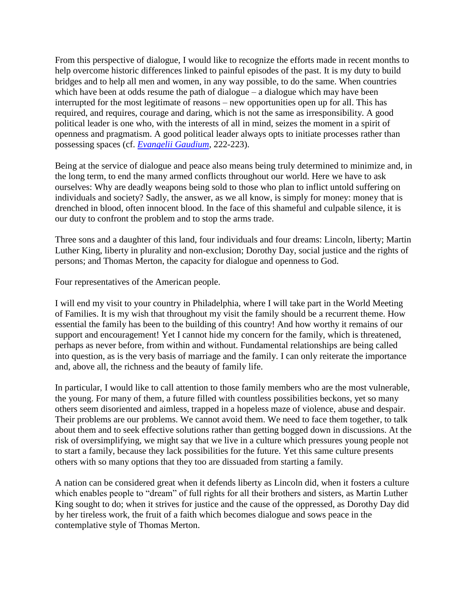From this perspective of dialogue, I would like to recognize the efforts made in recent months to help overcome historic differences linked to painful episodes of the past. It is my duty to build bridges and to help all men and women, in any way possible, to do the same. When countries which have been at odds resume the path of dialogue – a dialogue which may have been interrupted for the most legitimate of reasons – new opportunities open up for all. This has required, and requires, courage and daring, which is not the same as irresponsibility. A good political leader is one who, with the interests of all in mind, seizes the moment in a spirit of openness and pragmatism. A good political leader always opts to initiate processes rather than possessing spaces (cf. *[Evangelii Gaudium](http://w2.vatican.va/content/francesco/en/apost_exhortations/documents/papa-francesco_esortazione-ap_20131124_evangelii-gaudium.html)*, 222-223).

Being at the service of dialogue and peace also means being truly determined to minimize and, in the long term, to end the many armed conflicts throughout our world. Here we have to ask ourselves: Why are deadly weapons being sold to those who plan to inflict untold suffering on individuals and society? Sadly, the answer, as we all know, is simply for money: money that is drenched in blood, often innocent blood. In the face of this shameful and culpable silence, it is our duty to confront the problem and to stop the arms trade.

Three sons and a daughter of this land, four individuals and four dreams: Lincoln, liberty; Martin Luther King, liberty in plurality and non-exclusion; Dorothy Day, social justice and the rights of persons; and Thomas Merton, the capacity for dialogue and openness to God.

Four representatives of the American people.

I will end my visit to your country in Philadelphia, where I will take part in the World Meeting of Families. It is my wish that throughout my visit the family should be a recurrent theme. How essential the family has been to the building of this country! And how worthy it remains of our support and encouragement! Yet I cannot hide my concern for the family, which is threatened, perhaps as never before, from within and without. Fundamental relationships are being called into question, as is the very basis of marriage and the family. I can only reiterate the importance and, above all, the richness and the beauty of family life.

In particular, I would like to call attention to those family members who are the most vulnerable, the young. For many of them, a future filled with countless possibilities beckons, yet so many others seem disoriented and aimless, trapped in a hopeless maze of violence, abuse and despair. Their problems are our problems. We cannot avoid them. We need to face them together, to talk about them and to seek effective solutions rather than getting bogged down in discussions. At the risk of oversimplifying, we might say that we live in a culture which pressures young people not to start a family, because they lack possibilities for the future. Yet this same culture presents others with so many options that they too are dissuaded from starting a family.

A nation can be considered great when it defends liberty as Lincoln did, when it fosters a culture which enables people to "dream" of full rights for all their brothers and sisters, as Martin Luther King sought to do; when it strives for justice and the cause of the oppressed, as Dorothy Day did by her tireless work, the fruit of a faith which becomes dialogue and sows peace in the contemplative style of Thomas Merton.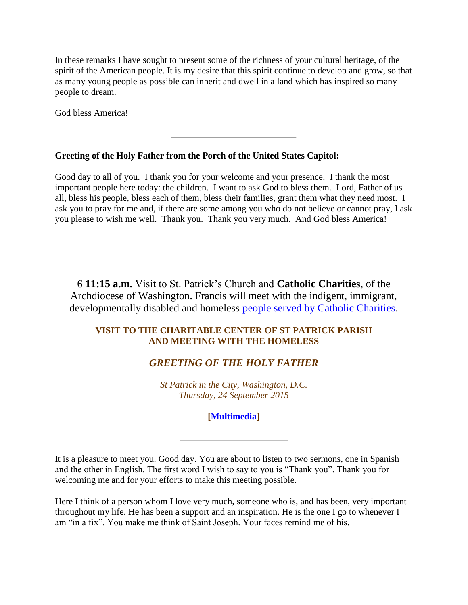In these remarks I have sought to present some of the richness of your cultural heritage, of the spirit of the American people. It is my desire that this spirit continue to develop and grow, so that as many young people as possible can inherit and dwell in a land which has inspired so many people to dream.

God bless America!

### **Greeting of the Holy Father from the Porch of the United States Capitol:**

Good day to all of you. I thank you for your welcome and your presence. I thank the most important people here today: the children. I want to ask God to bless them. Lord, Father of us all, bless his people, bless each of them, bless their families, grant them what they need most. I ask you to pray for me and, if there are some among you who do not believe or cannot pray, I ask you please to wish me well. Thank you. Thank you very much. And God bless America!

6 **11:15 a.m.** Visit to St. Patrick's Church and **Catholic Charities**, of the Archdiocese of Washington. Francis will meet with the indigent, immigrant, developmentally disabled and homeless [people served by Catholic Charities.](http://www.nytimes.com/2015/09/25/us/pope-francis-most-welcome-words-to-homeless-in-washington-buon-appetito.html)

## **VISIT TO THE CHARITABLE CENTER OF ST PATRICK PARISH AND MEETING WITH THE HOMELESS**

# *GREETING OF THE HOLY FATHER*

*St Patrick in the City, Washington, D.C. Thursday, 24 September 2015*

## **[\[Multimedia\]](http://w2.vatican.va/content/francesco/en/events/event.dir.html/content/vaticanevents/en/2015/9/24/usastpatrick.html)**

It is a pleasure to meet you. Good day. You are about to listen to two sermons, one in Spanish and the other in English. The first word I wish to say to you is "Thank you". Thank you for welcoming me and for your efforts to make this meeting possible.

Here I think of a person whom I love very much, someone who is, and has been, very important throughout my life. He has been a support and an inspiration. He is the one I go to whenever I am "in a fix". You make me think of Saint Joseph. Your faces remind me of his.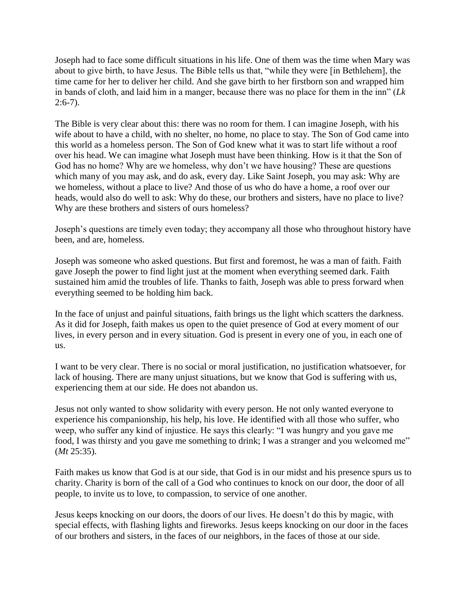Joseph had to face some difficult situations in his life. One of them was the time when Mary was about to give birth, to have Jesus. The Bible tells us that, "while they were [in Bethlehem], the time came for her to deliver her child. And she gave birth to her firstborn son and wrapped him in bands of cloth, and laid him in a manger, because there was no place for them in the inn" (*Lk*   $2:6-7$ ).

The Bible is very clear about this: there was no room for them. I can imagine Joseph, with his wife about to have a child, with no shelter, no home, no place to stay. The Son of God came into this world as a homeless person. The Son of God knew what it was to start life without a roof over his head. We can imagine what Joseph must have been thinking. How is it that the Son of God has no home? Why are we homeless, why don't we have housing? These are questions which many of you may ask, and do ask, every day. Like Saint Joseph, you may ask: Why are we homeless, without a place to live? And those of us who do have a home, a roof over our heads, would also do well to ask: Why do these, our brothers and sisters, have no place to live? Why are these brothers and sisters of ours homeless?

Joseph's questions are timely even today; they accompany all those who throughout history have been, and are, homeless.

Joseph was someone who asked questions. But first and foremost, he was a man of faith. Faith gave Joseph the power to find light just at the moment when everything seemed dark. Faith sustained him amid the troubles of life. Thanks to faith, Joseph was able to press forward when everything seemed to be holding him back.

In the face of unjust and painful situations, faith brings us the light which scatters the darkness. As it did for Joseph, faith makes us open to the quiet presence of God at every moment of our lives, in every person and in every situation. God is present in every one of you, in each one of us.

I want to be very clear. There is no social or moral justification, no justification whatsoever, for lack of housing. There are many unjust situations, but we know that God is suffering with us, experiencing them at our side. He does not abandon us.

Jesus not only wanted to show solidarity with every person. He not only wanted everyone to experience his companionship, his help, his love. He identified with all those who suffer, who weep, who suffer any kind of injustice. He says this clearly: "I was hungry and you gave me food, I was thirsty and you gave me something to drink; I was a stranger and you welcomed me" (*Mt* 25:35).

Faith makes us know that God is at our side, that God is in our midst and his presence spurs us to charity. Charity is born of the call of a God who continues to knock on our door, the door of all people, to invite us to love, to compassion, to service of one another.

Jesus keeps knocking on our doors, the doors of our lives. He doesn't do this by magic, with special effects, with flashing lights and fireworks. Jesus keeps knocking on our door in the faces of our brothers and sisters, in the faces of our neighbors, in the faces of those at our side.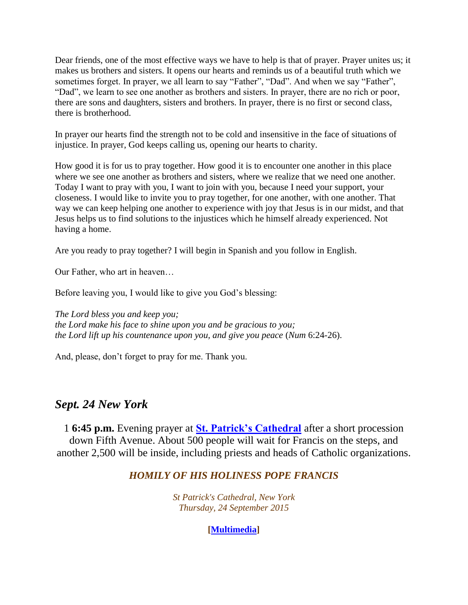Dear friends, one of the most effective ways we have to help is that of prayer. Prayer unites us; it makes us brothers and sisters. It opens our hearts and reminds us of a beautiful truth which we sometimes forget. In prayer, we all learn to say "Father", "Dad". And when we say "Father", "Dad", we learn to see one another as brothers and sisters. In prayer, there are no rich or poor, there are sons and daughters, sisters and brothers. In prayer, there is no first or second class, there is brotherhood.

In prayer our hearts find the strength not to be cold and insensitive in the face of situations of injustice. In prayer, God keeps calling us, opening our hearts to charity.

How good it is for us to pray together. How good it is to encounter one another in this place where we see one another as brothers and sisters, where we realize that we need one another. Today I want to pray with you, I want to join with you, because I need your support, your closeness. I would like to invite you to pray together, for one another, with one another. That way we can keep helping one another to experience with joy that Jesus is in our midst, and that Jesus helps us to find solutions to the injustices which he himself already experienced. Not having a home.

Are you ready to pray together? I will begin in Spanish and you follow in English.

Our Father, who art in heaven…

Before leaving you, I would like to give you God's blessing:

*The Lord bless you and keep you; the Lord make his face to shine upon you and be gracious to you; the Lord lift up his countenance upon you, and give you peace* (*Num* 6:24-26).

And, please, don't forget to pray for me. Thank you.

# *Sept. 24 New York*

1 **6:45 p.m.** Evening prayer at **[St. Patrick's Cathedral](http://www.nytimes.com/2015/09/25/nyregion/pope-francis-new-york-city-visit.html)** after a short procession down Fifth Avenue. About 500 people will wait for Francis on the steps, and another 2,500 will be inside, including priests and heads of Catholic organizations.

# *HOMILY OF HIS HOLINESS POPE FRANCIS*

*St Patrick's Cathedral, New York Thursday, 24 September 2015*

**[\[Multimedia\]](http://w2.vatican.va/content/francesco/en/events/event.dir.html/content/vaticanevents/en/2015/9/24/vesprinyc.html)**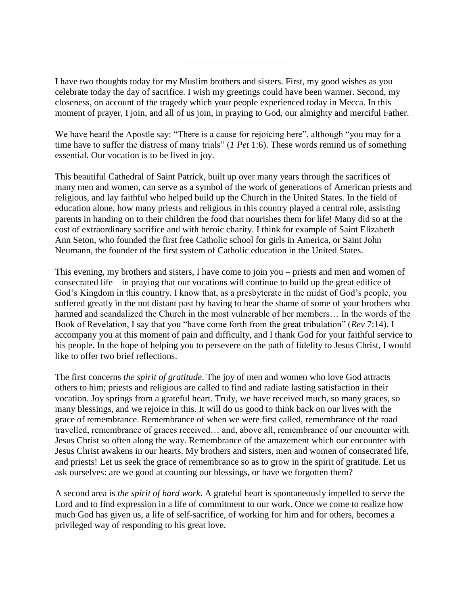I have two thoughts today for my Muslim brothers and sisters. First, my good wishes as you celebrate today the day of sacrifice. I wish my greetings could have been warmer. Second, my closeness, on account of the tragedy which your people experienced today in Mecca. In this moment of prayer, I join, and all of us join, in praying to God, our almighty and merciful Father.

We have heard the Apostle say: "There is a cause for rejoicing here", although "you may for a time have to suffer the distress of many trials" (*1 Pet* 1:6). These words remind us of something essential. Our vocation is to be lived in joy.

This beautiful Cathedral of Saint Patrick, built up over many years through the sacrifices of many men and women, can serve as a symbol of the work of generations of American priests and religious, and lay faithful who helped build up the Church in the United States. In the field of education alone, how many priests and religious in this country played a central role, assisting parents in handing on to their children the food that nourishes them for life! Many did so at the cost of extraordinary sacrifice and with heroic charity. I think for example of Saint Elizabeth Ann Seton, who founded the first free Catholic school for girls in America, or Saint John Neumann, the founder of the first system of Catholic education in the United States.

This evening, my brothers and sisters, I have come to join you – priests and men and women of consecrated life – in praying that our vocations will continue to build up the great edifice of God's Kingdom in this country. I know that, as a presbyterate in the midst of God's people, you suffered greatly in the not distant past by having to bear the shame of some of your brothers who harmed and scandalized the Church in the most vulnerable of her members… In the words of the Book of Revelation, I say that you "have come forth from the great tribulation" (*Rev* 7:14). I accompany you at this moment of pain and difficulty, and I thank God for your faithful service to his people. In the hope of helping you to persevere on the path of fidelity to Jesus Christ, I would like to offer two brief reflections.

The first concerns *the spirit of gratitude*. The joy of men and women who love God attracts others to him; priests and religious are called to find and radiate lasting satisfaction in their vocation. Joy springs from a grateful heart. Truly, we have received much, so many graces, so many blessings, and we rejoice in this. It will do us good to think back on our lives with the grace of remembrance. Remembrance of when we were first called, remembrance of the road travelled, remembrance of graces received… and, above all, remembrance of our encounter with Jesus Christ so often along the way. Remembrance of the amazement which our encounter with Jesus Christ awakens in our hearts. My brothers and sisters, men and women of consecrated life, and priests! Let us seek the grace of remembrance so as to grow in the spirit of gratitude. Let us ask ourselves: are we good at counting our blessings, or have we forgotten them?

A second area is *the spirit of hard work*. A grateful heart is spontaneously impelled to serve the Lord and to find expression in a life of commitment to our work. Once we come to realize how much God has given us, a life of self-sacrifice, of working for him and for others, becomes a privileged way of responding to his great love.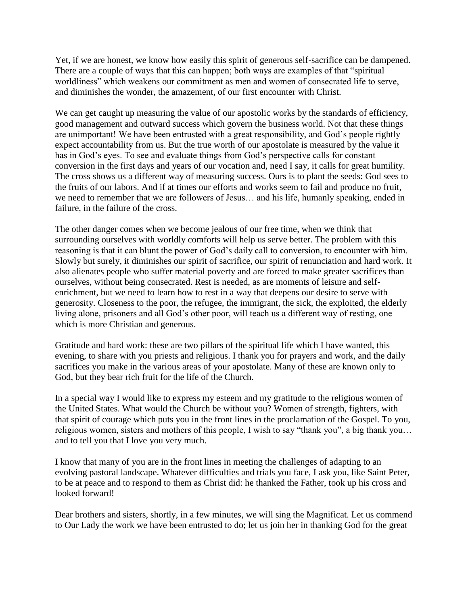Yet, if we are honest, we know how easily this spirit of generous self-sacrifice can be dampened. There are a couple of ways that this can happen; both ways are examples of that "spiritual worldliness" which weakens our commitment as men and women of consecrated life to serve, and diminishes the wonder, the amazement, of our first encounter with Christ.

We can get caught up measuring the value of our apostolic works by the standards of efficiency, good management and outward success which govern the business world. Not that these things are unimportant! We have been entrusted with a great responsibility, and God's people rightly expect accountability from us. But the true worth of our apostolate is measured by the value it has in God's eyes. To see and evaluate things from God's perspective calls for constant conversion in the first days and years of our vocation and, need I say, it calls for great humility. The cross shows us a different way of measuring success. Ours is to plant the seeds: God sees to the fruits of our labors. And if at times our efforts and works seem to fail and produce no fruit, we need to remember that we are followers of Jesus… and his life, humanly speaking, ended in failure, in the failure of the cross.

The other danger comes when we become jealous of our free time, when we think that surrounding ourselves with worldly comforts will help us serve better. The problem with this reasoning is that it can blunt the power of God's daily call to conversion, to encounter with him. Slowly but surely, it diminishes our spirit of sacrifice, our spirit of renunciation and hard work. It also alienates people who suffer material poverty and are forced to make greater sacrifices than ourselves, without being consecrated. Rest is needed, as are moments of leisure and selfenrichment, but we need to learn how to rest in a way that deepens our desire to serve with generosity. Closeness to the poor, the refugee, the immigrant, the sick, the exploited, the elderly living alone, prisoners and all God's other poor, will teach us a different way of resting, one which is more Christian and generous.

Gratitude and hard work: these are two pillars of the spiritual life which I have wanted, this evening, to share with you priests and religious. I thank you for prayers and work, and the daily sacrifices you make in the various areas of your apostolate. Many of these are known only to God, but they bear rich fruit for the life of the Church.

In a special way I would like to express my esteem and my gratitude to the religious women of the United States. What would the Church be without you? Women of strength, fighters, with that spirit of courage which puts you in the front lines in the proclamation of the Gospel. To you, religious women, sisters and mothers of this people, I wish to say "thank you", a big thank you… and to tell you that I love you very much.

I know that many of you are in the front lines in meeting the challenges of adapting to an evolving pastoral landscape. Whatever difficulties and trials you face, I ask you, like Saint Peter, to be at peace and to respond to them as Christ did: he thanked the Father, took up his cross and looked forward!

Dear brothers and sisters, shortly, in a few minutes, we will sing the Magnificat. Let us commend to Our Lady the work we have been entrusted to do; let us join her in thanking God for the great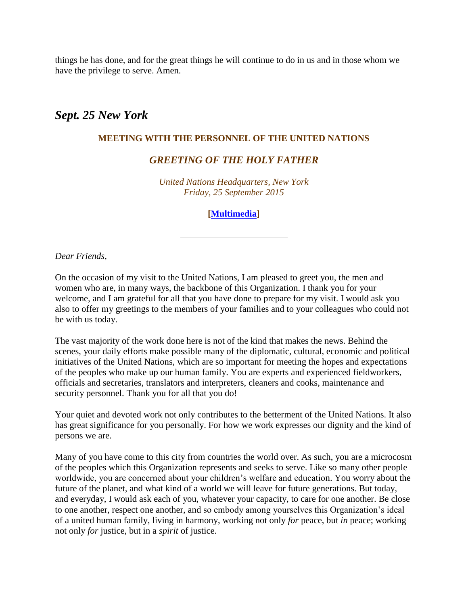things he has done, and for the great things he will continue to do in us and in those whom we have the privilege to serve. Amen.

# *Sept. 25 New York*

#### **MEETING WITH THE PERSONNEL OF THE UNITED NATIONS**

#### *GREETING OF THE HOLY FATHER*

*United Nations Headquarters, New York Friday, 25 September 2015*

#### **[\[Multimedia\]](http://w2.vatican.va/content/francesco/en/events/event.dir.html/content/vaticanevents/en/2015/9/25/onusaluto.html)**

*Dear Friends,*

On the occasion of my visit to the United Nations, I am pleased to greet you, the men and women who are, in many ways, the backbone of this Organization. I thank you for your welcome, and I am grateful for all that you have done to prepare for my visit. I would ask you also to offer my greetings to the members of your families and to your colleagues who could not be with us today.

The vast majority of the work done here is not of the kind that makes the news. Behind the scenes, your daily efforts make possible many of the diplomatic, cultural, economic and political initiatives of the United Nations, which are so important for meeting the hopes and expectations of the peoples who make up our human family. You are experts and experienced fieldworkers, officials and secretaries, translators and interpreters, cleaners and cooks, maintenance and security personnel. Thank you for all that you do!

Your quiet and devoted work not only contributes to the betterment of the United Nations. It also has great significance for you personally. For how we work expresses our dignity and the kind of persons we are.

Many of you have come to this city from countries the world over. As such, you are a microcosm of the peoples which this Organization represents and seeks to serve. Like so many other people worldwide, you are concerned about your children's welfare and education. You worry about the future of the planet, and what kind of a world we will leave for future generations. But today, and everyday, I would ask each of you, whatever your capacity, to care for one another. Be close to one another, respect one another, and so embody among yourselves this Organization's ideal of a united human family, living in harmony, working not only *for* peace, but *in* peace; working not only *for* justice, but in a *spirit* of justice.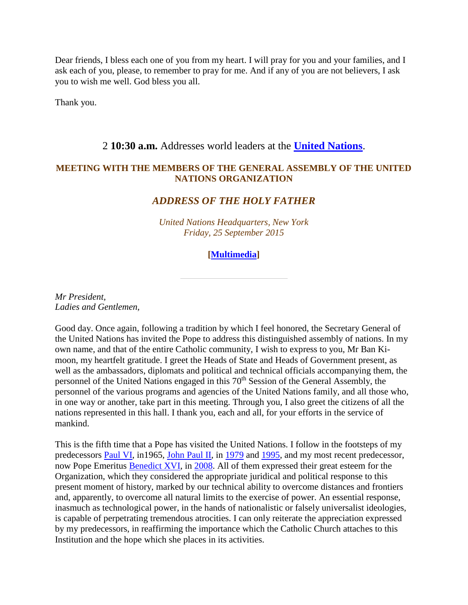Dear friends, I bless each one of you from my heart. I will pray for you and your families, and I ask each of you, please, to remember to pray for me. And if any of you are not believers, I ask you to wish me well. God bless you all.

Thank you.

#### 2 **10:30 a.m.** Addresses world leaders at the **[United Nations](http://www.nytimes.com/2015/09/26/world/europe/pope-francis-united-nations.html?rref=collection%2Fnewseventcollection%2Fpope-francis-us-visit)**.

#### **MEETING WITH THE MEMBERS OF THE GENERAL ASSEMBLY OF THE UNITED NATIONS ORGANIZATION**

#### *ADDRESS OF THE HOLY FATHER*

*United Nations Headquarters, New York Friday, 25 September 2015*

#### **[\[Multimedia\]](http://w2.vatican.va/content/francesco/en/events/event.dir.html/content/vaticanevents/en/2015/9/25/onuvisita.html)**

*Mr President, Ladies and Gentlemen,*

Good day. Once again, following a tradition by which I feel honored, the Secretary General of the United Nations has invited the Pope to address this distinguished assembly of nations. In my own name, and that of the entire Catholic community, I wish to express to you, Mr Ban Kimoon, my heartfelt gratitude. I greet the Heads of State and Heads of Government present, as well as the ambassadors, diplomats and political and technical officials accompanying them, the personnel of the United Nations engaged in this 70<sup>th</sup> Session of the General Assembly, the personnel of the various programs and agencies of the United Nations family, and all those who, in one way or another, take part in this meeting. Through you, I also greet the citizens of all the nations represented in this hall. I thank you, each and all, for your efforts in the service of mankind.

This is the fifth time that a Pope has visited the United Nations. I follow in the footsteps of my predecessors [Paul VI,](http://w2.vatican.va/content/paul-vi/en.html) in1965, [John Paul II,](http://w2.vatican.va/content/john-paul-ii/en.html) in [1979](http://w2.vatican.va/content/john-paul-ii/en/speeches/1979/october/documents/hf_jp-ii_spe_19791002_general-assembly-onu.html) and [1995,](http://w2.vatican.va/content/john-paul-ii/en/speeches/1995/october/documents/hf_jp-ii_spe_05101995_address-to-uno.html) and my most recent predecessor, now Pope Emeritus [Benedict XVI,](http://w2.vatican.va/content/benedict-xvi/en.html) in [2008.](http://w2.vatican.va/content/benedict-xvi/en/speeches/2008/april/documents/hf_ben-xvi_spe_20080418_un-visit.html) All of them expressed their great esteem for the Organization, which they considered the appropriate juridical and political response to this present moment of history, marked by our technical ability to overcome distances and frontiers and, apparently, to overcome all natural limits to the exercise of power. An essential response, inasmuch as technological power, in the hands of nationalistic or falsely universalist ideologies, is capable of perpetrating tremendous atrocities. I can only reiterate the appreciation expressed by my predecessors, in reaffirming the importance which the Catholic Church attaches to this Institution and the hope which she places in its activities.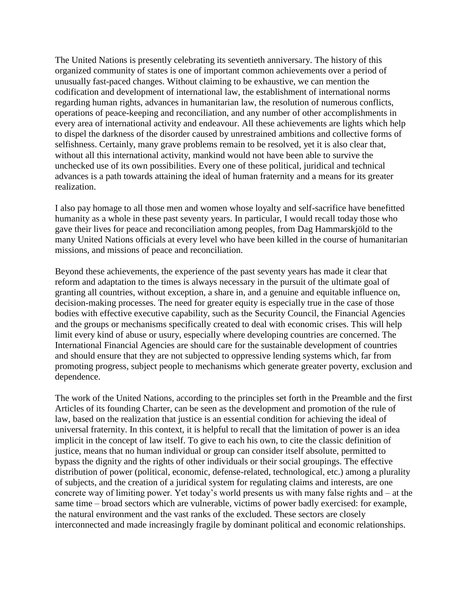The United Nations is presently celebrating its seventieth anniversary. The history of this organized community of states is one of important common achievements over a period of unusually fast-paced changes. Without claiming to be exhaustive, we can mention the codification and development of international law, the establishment of international norms regarding human rights, advances in humanitarian law, the resolution of numerous conflicts, operations of peace-keeping and reconciliation, and any number of other accomplishments in every area of international activity and endeavour. All these achievements are lights which help to dispel the darkness of the disorder caused by unrestrained ambitions and collective forms of selfishness. Certainly, many grave problems remain to be resolved, yet it is also clear that, without all this international activity, mankind would not have been able to survive the unchecked use of its own possibilities. Every one of these political, juridical and technical advances is a path towards attaining the ideal of human fraternity and a means for its greater realization.

I also pay homage to all those men and women whose loyalty and self-sacrifice have benefitted humanity as a whole in these past seventy years. In particular, I would recall today those who gave their lives for peace and reconciliation among peoples, from Dag Hammarskjöld to the many United Nations officials at every level who have been killed in the course of humanitarian missions, and missions of peace and reconciliation.

Beyond these achievements, the experience of the past seventy years has made it clear that reform and adaptation to the times is always necessary in the pursuit of the ultimate goal of granting all countries, without exception, a share in, and a genuine and equitable influence on, decision-making processes. The need for greater equity is especially true in the case of those bodies with effective executive capability, such as the Security Council, the Financial Agencies and the groups or mechanisms specifically created to deal with economic crises. This will help limit every kind of abuse or usury, especially where developing countries are concerned. The International Financial Agencies are should care for the sustainable development of countries and should ensure that they are not subjected to oppressive lending systems which, far from promoting progress, subject people to mechanisms which generate greater poverty, exclusion and dependence.

The work of the United Nations, according to the principles set forth in the Preamble and the first Articles of its founding Charter, can be seen as the development and promotion of the rule of law, based on the realization that justice is an essential condition for achieving the ideal of universal fraternity. In this context, it is helpful to recall that the limitation of power is an idea implicit in the concept of law itself. To give to each his own, to cite the classic definition of justice, means that no human individual or group can consider itself absolute, permitted to bypass the dignity and the rights of other individuals or their social groupings. The effective distribution of power (political, economic, defense-related, technological, etc.) among a plurality of subjects, and the creation of a juridical system for regulating claims and interests, are one concrete way of limiting power. Yet today's world presents us with many false rights and – at the same time – broad sectors which are vulnerable, victims of power badly exercised: for example, the natural environment and the vast ranks of the excluded. These sectors are closely interconnected and made increasingly fragile by dominant political and economic relationships.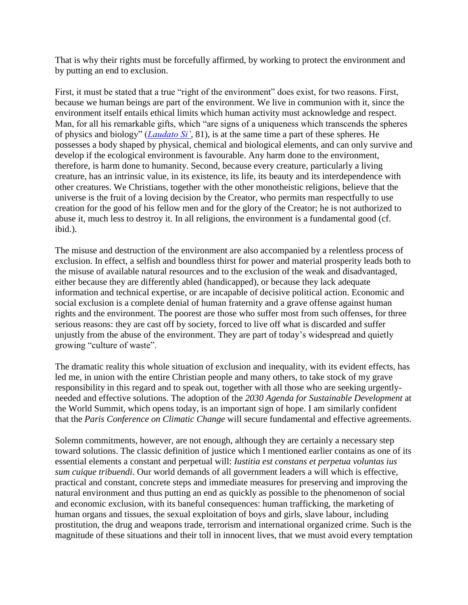That is why their rights must be forcefully affirmed, by working to protect the environment and by putting an end to exclusion.

First, it must be stated that a true "right of the environment" does exist, for two reasons. First, because we human beings are part of the environment. We live in communion with it, since the environment itself entails ethical limits which human activity must acknowledge and respect. Man, for all his remarkable gifts, which "are signs of a uniqueness which transcends the spheres of physics and biology" (*[Laudato Si'](http://w2.vatican.va/content/francesco/en/encyclicals/documents/papa-francesco_20150524_enciclica-laudato-si.html)*, 81), is at the same time a part of these spheres. He possesses a body shaped by physical, chemical and biological elements, and can only survive and develop if the ecological environment is favourable. Any harm done to the environment, therefore, is harm done to humanity. Second, because every creature, particularly a living creature, has an intrinsic value, in its existence, its life, its beauty and its interdependence with other creatures. We Christians, together with the other monotheistic religions, believe that the universe is the fruit of a loving decision by the Creator, who permits man respectfully to use creation for the good of his fellow men and for the glory of the Creator; he is not authorized to abuse it, much less to destroy it. In all religions, the environment is a fundamental good (cf. ibid.).

The misuse and destruction of the environment are also accompanied by a relentless process of exclusion. In effect, a selfish and boundless thirst for power and material prosperity leads both to the misuse of available natural resources and to the exclusion of the weak and disadvantaged, either because they are differently abled (handicapped), or because they lack adequate information and technical expertise, or are incapable of decisive political action. Economic and social exclusion is a complete denial of human fraternity and a grave offense against human rights and the environment. The poorest are those who suffer most from such offenses, for three serious reasons: they are cast off by society, forced to live off what is discarded and suffer unjustly from the abuse of the environment. They are part of today's widespread and quietly growing "culture of waste".

The dramatic reality this whole situation of exclusion and inequality, with its evident effects, has led me, in union with the entire Christian people and many others, to take stock of my grave responsibility in this regard and to speak out, together with all those who are seeking urgentlyneeded and effective solutions. The adoption of the *2030 Agenda for Sustainable Development* at the World Summit, which opens today, is an important sign of hope. I am similarly confident that the *Paris Conference on Climatic Change* will secure fundamental and effective agreements.

Solemn commitments, however, are not enough, although they are certainly a necessary step toward solutions. The classic definition of justice which I mentioned earlier contains as one of its essential elements a constant and perpetual will: *Iustitia est constans et perpetua voluntas ius sum cuique tribuendi*. Our world demands of all government leaders a will which is effective, practical and constant, concrete steps and immediate measures for preserving and improving the natural environment and thus putting an end as quickly as possible to the phenomenon of social and economic exclusion, with its baneful consequences: human trafficking, the marketing of human organs and tissues, the sexual exploitation of boys and girls, slave labour, including prostitution, the drug and weapons trade, terrorism and international organized crime. Such is the magnitude of these situations and their toll in innocent lives, that we must avoid every temptation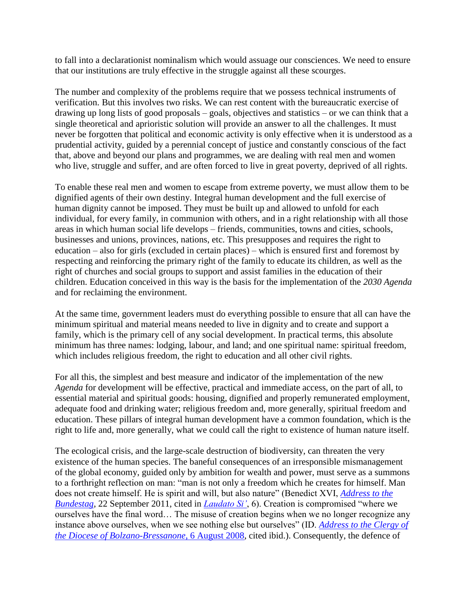to fall into a declarationist nominalism which would assuage our consciences. We need to ensure that our institutions are truly effective in the struggle against all these scourges.

The number and complexity of the problems require that we possess technical instruments of verification. But this involves two risks. We can rest content with the bureaucratic exercise of drawing up long lists of good proposals – goals, objectives and statistics – or we can think that a single theoretical and aprioristic solution will provide an answer to all the challenges. It must never be forgotten that political and economic activity is only effective when it is understood as a prudential activity, guided by a perennial concept of justice and constantly conscious of the fact that, above and beyond our plans and programmes, we are dealing with real men and women who live, struggle and suffer, and are often forced to live in great poverty, deprived of all rights.

To enable these real men and women to escape from extreme poverty, we must allow them to be dignified agents of their own destiny. Integral human development and the full exercise of human dignity cannot be imposed. They must be built up and allowed to unfold for each individual, for every family, in communion with others, and in a right relationship with all those areas in which human social life develops – friends, communities, towns and cities, schools, businesses and unions, provinces, nations, etc. This presupposes and requires the right to education – also for girls (excluded in certain places) – which is ensured first and foremost by respecting and reinforcing the primary right of the family to educate its children, as well as the right of churches and social groups to support and assist families in the education of their children. Education conceived in this way is the basis for the implementation of the *2030 Agenda* and for reclaiming the environment.

At the same time, government leaders must do everything possible to ensure that all can have the minimum spiritual and material means needed to live in dignity and to create and support a family, which is the primary cell of any social development. In practical terms, this absolute minimum has three names: lodging, labour, and land; and one spiritual name: spiritual freedom, which includes religious freedom, the right to education and all other civil rights.

For all this, the simplest and best measure and indicator of the implementation of the new *Agenda* for development will be effective, practical and immediate access, on the part of all, to essential material and spiritual goods: housing, dignified and properly remunerated employment, adequate food and drinking water; religious freedom and, more generally, spiritual freedom and education. These pillars of integral human development have a common foundation, which is the right to life and, more generally, what we could call the right to existence of human nature itself.

The ecological crisis, and the large-scale destruction of biodiversity, can threaten the very existence of the human species. The baneful consequences of an irresponsible mismanagement of the global economy, guided only by ambition for wealth and power, must serve as a summons to a forthright reflection on man: "man is not only a freedom which he creates for himself. Man does not create himself. He is spirit and will, but also nature" (Benedict XVI, *[Address to the](http://w2.vatican.va/content/benedict-xvi/en/speeches/2011/september/documents/hf_ben-xvi_spe_20110922_reichstag-berlin.html)  [Bundestag](http://w2.vatican.va/content/benedict-xvi/en/speeches/2011/september/documents/hf_ben-xvi_spe_20110922_reichstag-berlin.html)*, 22 September 2011, cited in *[Laudato Si'](http://w2.vatican.va/content/francesco/en/encyclicals/documents/papa-francesco_20150524_enciclica-laudato-si.html)*, 6). Creation is compromised "where we ourselves have the final word… The misuse of creation begins when we no longer recognize any instance above ourselves, when we see nothing else but ourselves" (ID. *[Address to the Clergy of](http://w2.vatican.va/content/benedict-xvi/en/speeches/2008/august/documents/hf_ben-xvi_spe_20080806_clero-bressanone.html)  [the Diocese of Bolzano-Bressanone](http://w2.vatican.va/content/benedict-xvi/en/speeches/2008/august/documents/hf_ben-xvi_spe_20080806_clero-bressanone.html)*, 6 August 2008, cited ibid.). Consequently, the defence of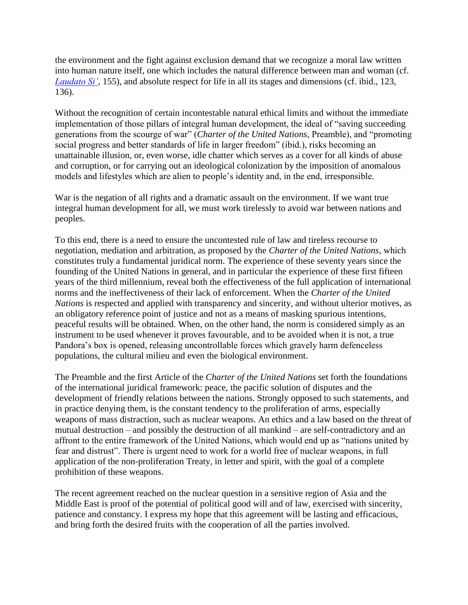the environment and the fight against exclusion demand that we recognize a moral law written into human nature itself, one which includes the natural difference between man and woman (cf. *[Laudato Si'](http://w2.vatican.va/content/francesco/en/encyclicals/documents/papa-francesco_20150524_enciclica-laudato-si.html)*, 155), and absolute respect for life in all its stages and dimensions (cf. ibid., 123, 136).

Without the recognition of certain incontestable natural ethical limits and without the immediate implementation of those pillars of integral human development, the ideal of "saving succeeding generations from the scourge of war" (*Charter of the United Nations*, Preamble), and "promoting social progress and better standards of life in larger freedom" (ibid.), risks becoming an unattainable illusion, or, even worse, idle chatter which serves as a cover for all kinds of abuse and corruption, or for carrying out an ideological colonization by the imposition of anomalous models and lifestyles which are alien to people's identity and, in the end, irresponsible.

War is the negation of all rights and a dramatic assault on the environment. If we want true integral human development for all, we must work tirelessly to avoid war between nations and peoples.

To this end, there is a need to ensure the uncontested rule of law and tireless recourse to negotiation, mediation and arbitration, as proposed by the *Charter of the United Nations*, which constitutes truly a fundamental juridical norm. The experience of these seventy years since the founding of the United Nations in general, and in particular the experience of these first fifteen years of the third millennium, reveal both the effectiveness of the full application of international norms and the ineffectiveness of their lack of enforcement. When the *Charter of the United Nations* is respected and applied with transparency and sincerity, and without ulterior motives, as an obligatory reference point of justice and not as a means of masking spurious intentions, peaceful results will be obtained. When, on the other hand, the norm is considered simply as an instrument to be used whenever it proves favourable, and to be avoided when it is not, a true Pandora's box is opened, releasing uncontrollable forces which gravely harm defenceless populations, the cultural milieu and even the biological environment.

The Preamble and the first Article of the *Charter of the United Nations* set forth the foundations of the international juridical framework: peace, the pacific solution of disputes and the development of friendly relations between the nations. Strongly opposed to such statements, and in practice denying them, is the constant tendency to the proliferation of arms, especially weapons of mass distraction, such as nuclear weapons. An ethics and a law based on the threat of mutual destruction – and possibly the destruction of all mankind – are self-contradictory and an affront to the entire framework of the United Nations, which would end up as "nations united by fear and distrust". There is urgent need to work for a world free of nuclear weapons, in full application of the non-proliferation Treaty, in letter and spirit, with the goal of a complete prohibition of these weapons.

The recent agreement reached on the nuclear question in a sensitive region of Asia and the Middle East is proof of the potential of political good will and of law, exercised with sincerity, patience and constancy. I express my hope that this agreement will be lasting and efficacious, and bring forth the desired fruits with the cooperation of all the parties involved.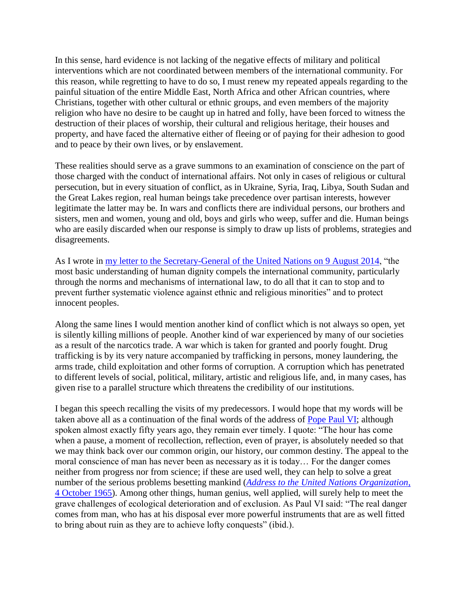In this sense, hard evidence is not lacking of the negative effects of military and political interventions which are not coordinated between members of the international community. For this reason, while regretting to have to do so, I must renew my repeated appeals regarding to the painful situation of the entire Middle East, North Africa and other African countries, where Christians, together with other cultural or ethnic groups, and even members of the majority religion who have no desire to be caught up in hatred and folly, have been forced to witness the destruction of their places of worship, their cultural and religious heritage, their houses and property, and have faced the alternative either of fleeing or of paying for their adhesion to good and to peace by their own lives, or by enslavement.

These realities should serve as a grave summons to an examination of conscience on the part of those charged with the conduct of international affairs. Not only in cases of religious or cultural persecution, but in every situation of conflict, as in Ukraine, Syria, Iraq, Libya, South Sudan and the Great Lakes region, real human beings take precedence over partisan interests, however legitimate the latter may be. In wars and conflicts there are individual persons, our brothers and sisters, men and women, young and old, boys and girls who weep, suffer and die. Human beings who are easily discarded when our response is simply to draw up lists of problems, strategies and disagreements.

As I wrote in [my letter to the Secretary-General of the United Nations on 9 August 2014,](http://w2.vatican.va/content/francesco/en/letters/2014/documents/papa-francesco_20140809_lettera-ban-ki-moon-iraq.html) "the most basic understanding of human dignity compels the international community, particularly through the norms and mechanisms of international law, to do all that it can to stop and to prevent further systematic violence against ethnic and religious minorities" and to protect innocent peoples.

Along the same lines I would mention another kind of conflict which is not always so open, yet is silently killing millions of people. Another kind of war experienced by many of our societies as a result of the narcotics trade. A war which is taken for granted and poorly fought. Drug trafficking is by its very nature accompanied by trafficking in persons, money laundering, the arms trade, child exploitation and other forms of corruption. A corruption which has penetrated to different levels of social, political, military, artistic and religious life, and, in many cases, has given rise to a parallel structure which threatens the credibility of our institutions.

I began this speech recalling the visits of my predecessors. I would hope that my words will be taken above all as a continuation of the final words of the address of [Pope Paul VI;](http://w2.vatican.va/content/paul-vi/en.html) although spoken almost exactly fifty years ago, they remain ever timely. I quote: "The hour has come when a pause, a moment of recollection, reflection, even of prayer, is absolutely needed so that we may think back over our common origin, our history, our common destiny. The appeal to the moral conscience of man has never been as necessary as it is today… For the danger comes neither from progress nor from science; if these are used well, they can help to solve a great number of the serious problems besetting mankind (*Address to the United [Nations Organization](http://w2.vatican.va/content/paul-vi/en/speeches/1965/documents/hf_p-vi_spe_19651004_united-nations.html)*, [4 October 1965\)](http://w2.vatican.va/content/paul-vi/en/speeches/1965/documents/hf_p-vi_spe_19651004_united-nations.html). Among other things, human genius, well applied, will surely help to meet the grave challenges of ecological deterioration and of exclusion. As Paul VI said: "The real danger comes from man, who has at his disposal ever more powerful instruments that are as well fitted to bring about ruin as they are to achieve lofty conquests" (ibid.).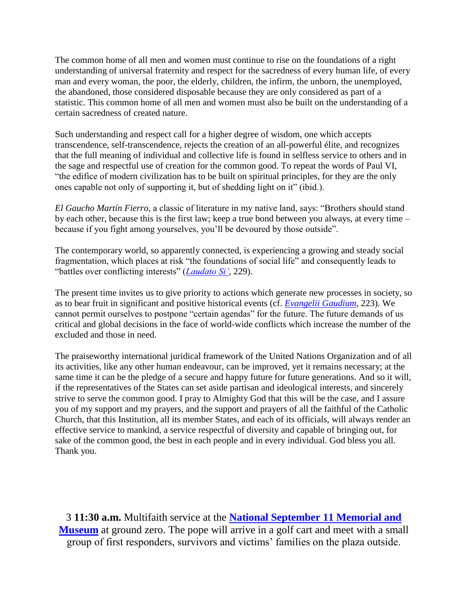The common home of all men and women must continue to rise on the foundations of a right understanding of universal fraternity and respect for the sacredness of every human life, of every man and every woman, the poor, the elderly, children, the infirm, the unborn, the unemployed, the abandoned, those considered disposable because they are only considered as part of a statistic. This common home of all men and women must also be built on the understanding of a certain sacredness of created nature.

Such understanding and respect call for a higher degree of wisdom, one which accepts transcendence, self-transcendence, rejects the creation of an all-powerful élite, and recognizes that the full meaning of individual and collective life is found in selfless service to others and in the sage and respectful use of creation for the common good. To repeat the words of Paul VI, "the edifice of modern civilization has to be built on spiritual principles, for they are the only ones capable not only of supporting it, but of shedding light on it" (ibid.).

*El Gaucho Martín Fierro*, a classic of literature in my native land, says: "Brothers should stand by each other, because this is the first law; keep a true bond between you always, at every time – because if you fight among yourselves, you'll be devoured by those outside".

The contemporary world, so apparently connected, is experiencing a growing and steady social fragmentation, which places at risk "the foundations of social life" and consequently leads to "battles over conflicting interests" (*[Laudato Si'](http://w2.vatican.va/content/francesco/en/encyclicals/documents/papa-francesco_20150524_enciclica-laudato-si.html)*, 229).

The present time invites us to give priority to actions which generate new processes in society, so as to bear fruit in significant and positive historical events (cf. *[Evangelii Gaudium](http://w2.vatican.va/content/francesco/en/apost_exhortations/documents/papa-francesco_esortazione-ap_20131124_evangelii-gaudium.html)*, 223). We cannot permit ourselves to postpone "certain agendas" for the future. The future demands of us critical and global decisions in the face of world-wide conflicts which increase the number of the excluded and those in need.

The praiseworthy international juridical framework of the United Nations Organization and of all its activities, like any other human endeavour, can be improved, yet it remains necessary; at the same time it can be the pledge of a secure and happy future for future generations. And so it will, if the representatives of the States can set aside partisan and ideological interests, and sincerely strive to serve the common good. I pray to Almighty God that this will be the case, and I assure you of my support and my prayers, and the support and prayers of all the faithful of the Catholic Church, that this Institution, all its member States, and each of its officials, will always render an effective service to mankind, a service respectful of diversity and capable of bringing out, for sake of the common good, the best in each people and in every individual. God bless you all. Thank you.

3 **11:30 a.m.** Multifaith service at the **[National September 11 Memorial and](http://www.nytimes.com/2015/09/26/us/in-a-void-created-by-religious-violence-pope-francis-shares-prayers-for-peace.html?rref=collection%2Fnewseventcollection%2Fpope-francis-us-visit)  [Museum](http://www.nytimes.com/2015/09/26/us/in-a-void-created-by-religious-violence-pope-francis-shares-prayers-for-peace.html?rref=collection%2Fnewseventcollection%2Fpope-francis-us-visit)** at ground zero. The pope will arrive in a golf cart and meet with a small group of first responders, survivors and victims' families on the plaza outside.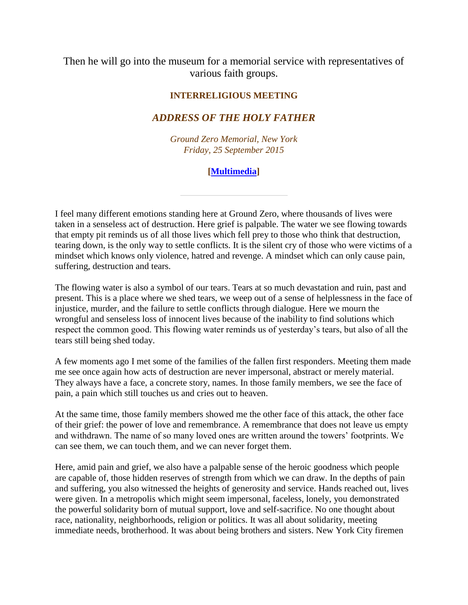Then he will go into the museum for a memorial service with representatives of various faith groups.

### **INTERRELIGIOUS MEETING**

## *ADDRESS OF THE HOLY FATHER*

*Ground Zero Memorial, New York Friday, 25 September 2015*

## **[\[Multimedia\]](http://w2.vatican.va/content/francesco/en/events/event.dir.html/content/vaticanevents/en/2015/9/25/usagroundzero.html)**

I feel many different emotions standing here at Ground Zero, where thousands of lives were taken in a senseless act of destruction. Here grief is palpable. The water we see flowing towards that empty pit reminds us of all those lives which fell prey to those who think that destruction, tearing down, is the only way to settle conflicts. It is the silent cry of those who were victims of a mindset which knows only violence, hatred and revenge. A mindset which can only cause pain, suffering, destruction and tears.

The flowing water is also a symbol of our tears. Tears at so much devastation and ruin, past and present. This is a place where we shed tears, we weep out of a sense of helplessness in the face of injustice, murder, and the failure to settle conflicts through dialogue. Here we mourn the wrongful and senseless loss of innocent lives because of the inability to find solutions which respect the common good. This flowing water reminds us of yesterday's tears, but also of all the tears still being shed today.

A few moments ago I met some of the families of the fallen first responders. Meeting them made me see once again how acts of destruction are never impersonal, abstract or merely material. They always have a face, a concrete story, names. In those family members, we see the face of pain, a pain which still touches us and cries out to heaven.

At the same time, those family members showed me the other face of this attack, the other face of their grief: the power of love and remembrance. A remembrance that does not leave us empty and withdrawn. The name of so many loved ones are written around the towers' footprints. We can see them, we can touch them, and we can never forget them.

Here, amid pain and grief, we also have a palpable sense of the heroic goodness which people are capable of, those hidden reserves of strength from which we can draw. In the depths of pain and suffering, you also witnessed the heights of generosity and service. Hands reached out, lives were given. In a metropolis which might seem impersonal, faceless, lonely, you demonstrated the powerful solidarity born of mutual support, love and self-sacrifice. No one thought about race, nationality, neighborhoods, religion or politics. It was all about solidarity, meeting immediate needs, brotherhood. It was about being brothers and sisters. New York City firemen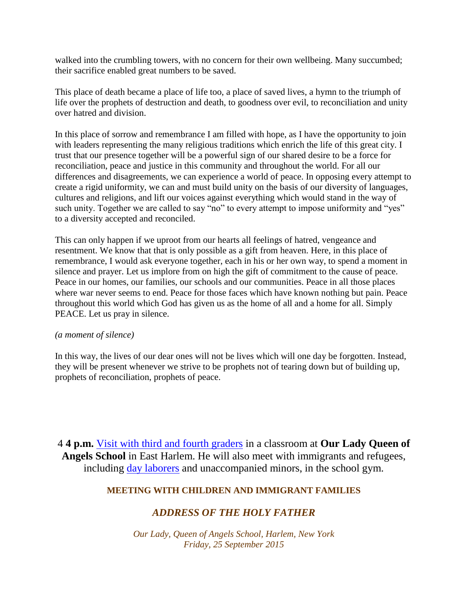walked into the crumbling towers, with no concern for their own wellbeing. Many succumbed; their sacrifice enabled great numbers to be saved.

This place of death became a place of life too, a place of saved lives, a hymn to the triumph of life over the prophets of destruction and death, to goodness over evil, to reconciliation and unity over hatred and division.

In this place of sorrow and remembrance I am filled with hope, as I have the opportunity to join with leaders representing the many religious traditions which enrich the life of this great city. I trust that our presence together will be a powerful sign of our shared desire to be a force for reconciliation, peace and justice in this community and throughout the world. For all our differences and disagreements, we can experience a world of peace. In opposing every attempt to create a rigid uniformity, we can and must build unity on the basis of our diversity of languages, cultures and religions, and lift our voices against everything which would stand in the way of such unity. Together we are called to say "no" to every attempt to impose uniformity and "yes" to a diversity accepted and reconciled.

This can only happen if we uproot from our hearts all feelings of hatred, vengeance and resentment. We know that that is only possible as a gift from heaven. Here, in this place of remembrance, I would ask everyone together, each in his or her own way, to spend a moment in silence and prayer. Let us implore from on high the gift of commitment to the cause of peace. Peace in our homes, our families, our schools and our communities. Peace in all those places where war never seems to end. Peace for those faces which have known nothing but pain. Peace throughout this world which God has given us as the home of all and a home for all. Simply PEACE. Let us pray in silence.

#### *(a moment of silence)*

In this way, the lives of our dear ones will not be lives which will one day be forgotten. Instead, they will be present whenever we strive to be prophets not of tearing down but of building up, prophets of reconciliation, prophets of peace.

4 **4 p.m.** [Visit with third and fourth graders](http://www.nytimes.com/2015/09/25/nyregion/new-york-students-prepare-for-a-special-visitor-pope-francis.html) in a classroom at **Our Lady Queen of Angels School** in East Harlem. He will also meet with immigrants and refugees, including [day laborers](http://www.nytimes.com/2015/09/26/nyregion/a-day-laborer-on-his-way-to-see-pope-francis.html?rref=collection%2Fnewseventcollection%2Fpope-francis-us-visit) and unaccompanied minors, in the school gym.

#### **MEETING WITH CHILDREN AND IMMIGRANT FAMILIES**

# *ADDRESS OF THE HOLY FATHER*

*Our Lady, Queen of Angels School, Harlem, New York Friday, 25 September 2015*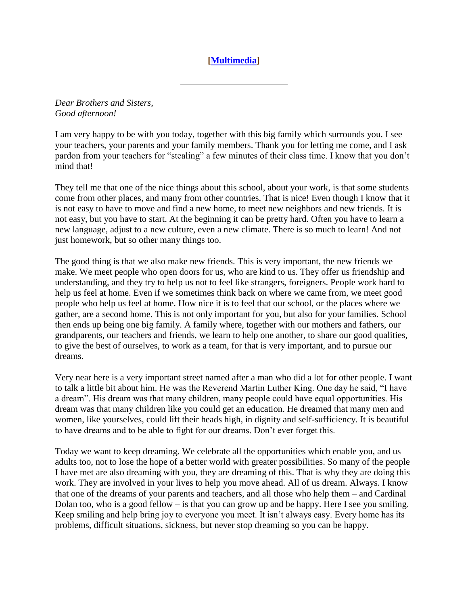## **[\[Multimedia\]](http://w2.vatican.va/content/francesco/en/events/event.dir.html/content/vaticanevents/en/2015/9/25/usaharlem.html)**

*Dear Brothers and Sisters, Good afternoon!*

I am very happy to be with you today, together with this big family which surrounds you. I see your teachers, your parents and your family members. Thank you for letting me come, and I ask pardon from your teachers for "stealing" a few minutes of their class time. I know that you don't mind that!

They tell me that one of the nice things about this school, about your work, is that some students come from other places, and many from other countries. That is nice! Even though I know that it is not easy to have to move and find a new home, to meet new neighbors and new friends. It is not easy, but you have to start. At the beginning it can be pretty hard. Often you have to learn a new language, adjust to a new culture, even a new climate. There is so much to learn! And not just homework, but so other many things too.

The good thing is that we also make new friends. This is very important, the new friends we make. We meet people who open doors for us, who are kind to us. They offer us friendship and understanding, and they try to help us not to feel like strangers, foreigners. People work hard to help us feel at home. Even if we sometimes think back on where we came from, we meet good people who help us feel at home. How nice it is to feel that our school, or the places where we gather, are a second home. This is not only important for you, but also for your families. School then ends up being one big family. A family where, together with our mothers and fathers, our grandparents, our teachers and friends, we learn to help one another, to share our good qualities, to give the best of ourselves, to work as a team, for that is very important, and to pursue our dreams.

Very near here is a very important street named after a man who did a lot for other people. I want to talk a little bit about him. He was the Reverend Martin Luther King. One day he said, "I have a dream". His dream was that many children, many people could have equal opportunities. His dream was that many children like you could get an education. He dreamed that many men and women, like yourselves, could lift their heads high, in dignity and self-sufficiency. It is beautiful to have dreams and to be able to fight for our dreams. Don't ever forget this.

Today we want to keep dreaming. We celebrate all the opportunities which enable you, and us adults too, not to lose the hope of a better world with greater possibilities. So many of the people I have met are also dreaming with you, they are dreaming of this. That is why they are doing this work. They are involved in your lives to help you move ahead. All of us dream. Always. I know that one of the dreams of your parents and teachers, and all those who help them – and Cardinal Dolan too, who is a good fellow – is that you can grow up and be happy. Here I see you smiling. Keep smiling and help bring joy to everyone you meet. It isn't always easy. Every home has its problems, difficult situations, sickness, but never stop dreaming so you can be happy.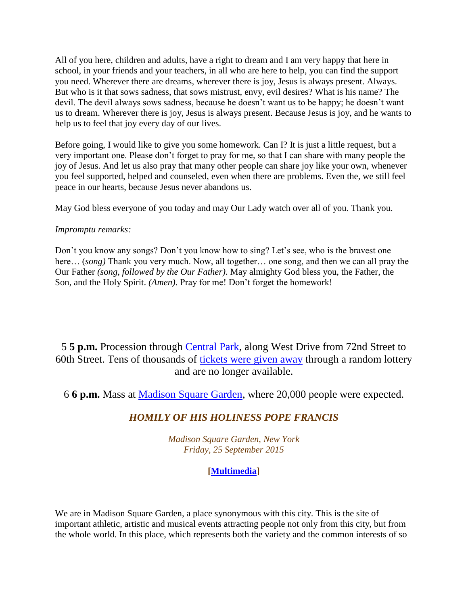All of you here, children and adults, have a right to dream and I am very happy that here in school, in your friends and your teachers, in all who are here to help, you can find the support you need. Wherever there are dreams, wherever there is joy, Jesus is always present. Always. But who is it that sows sadness, that sows mistrust, envy, evil desires? What is his name? The devil. The devil always sows sadness, because he doesn't want us to be happy; he doesn't want us to dream. Wherever there is joy, Jesus is always present. Because Jesus is joy, and he wants to help us to feel that joy every day of our lives.

Before going, I would like to give you some homework. Can I? It is just a little request, but a very important one. Please don't forget to pray for me, so that I can share with many people the joy of Jesus. And let us also pray that many other people can share joy like your own, whenever you feel supported, helped and counseled, even when there are problems. Even the, we still feel peace in our hearts, because Jesus never abandons us.

May God bless everyone of you today and may Our Lady watch over all of you. Thank you.

#### *Impromptu remarks:*

Don't you know any songs? Don't you know how to sing? Let's see, who is the bravest one here… (*song)* Thank you very much. Now, all together… one song, and then we can all pray the Our Father *(song, followed by the Our Father)*. May almighty God bless you, the Father, the Son, and the Holy Spirit. *(Amen)*. Pray for me! Don't forget the homework!

5 **5 p.m.** Procession through [Central Park,](http://www.nytimes.com/2015/09/26/nyregion/rib-crushing-throngs-press-toward-central-park-to-see-pope-francis.html?rref=collection%2Fnewseventcollection%2Fpope-francis-us-visit) along West Drive from 72nd Street to 60th Street. Tens of thousands of [tickets were given away](http://www1.nyc.gov/nyc-resources/papal-visit.page) through a random lottery and are no longer available.

6 **6 p.m.** Mass at [Madison Square Garden,](http://www.nytimes.com/2015/09/26/nyregion/pope-francis-visits-new-york-city.html?rref=collection%2Fnewseventcollection%2Fpope-francis-us-visit&action=click&contentCollection=us®ion=stream&module=stream_unit&version=latest&contentPlacement=2&pgtype=collection) where 20,000 people were expected.

# *HOMILY OF HIS HOLINESS POPE FRANCIS*

*Madison Square Garden, New York Friday, 25 September 2015*

# **[\[Multimedia\]](http://w2.vatican.va/content/francesco/en/events/event.dir.html/content/vaticanevents/en/2015/9/25/omelianyc.html)**

We are in Madison Square Garden, a place synonymous with this city. This is the site of important athletic, artistic and musical events attracting people not only from this city, but from the whole world. In this place, which represents both the variety and the common interests of so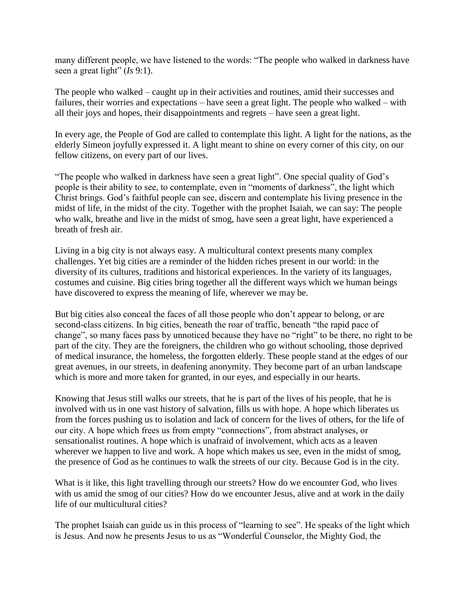many different people, we have listened to the words: "The people who walked in darkness have seen a great light" (*Is* 9:1).

The people who walked – caught up in their activities and routines, amid their successes and failures, their worries and expectations – have seen a great light. The people who walked – with all their joys and hopes, their disappointments and regrets – have seen a great light.

In every age, the People of God are called to contemplate this light. A light for the nations, as the elderly Simeon joyfully expressed it. A light meant to shine on every corner of this city, on our fellow citizens, on every part of our lives.

"The people who walked in darkness have seen a great light". One special quality of God's people is their ability to see, to contemplate, even in "moments of darkness", the light which Christ brings. God's faithful people can see, discern and contemplate his living presence in the midst of life, in the midst of the city. Together with the prophet Isaiah, we can say: The people who walk, breathe and live in the midst of smog, have seen a great light, have experienced a breath of fresh air.

Living in a big city is not always easy. A multicultural context presents many complex challenges. Yet big cities are a reminder of the hidden riches present in our world: in the diversity of its cultures, traditions and historical experiences. In the variety of its languages, costumes and cuisine. Big cities bring together all the different ways which we human beings have discovered to express the meaning of life, wherever we may be.

But big cities also conceal the faces of all those people who don't appear to belong, or are second-class citizens. In big cities, beneath the roar of traffic, beneath "the rapid pace of change", so many faces pass by unnoticed because they have no "right" to be there, no right to be part of the city. They are the foreigners, the children who go without schooling, those deprived of medical insurance, the homeless, the forgotten elderly. These people stand at the edges of our great avenues, in our streets, in deafening anonymity. They become part of an urban landscape which is more and more taken for granted, in our eyes, and especially in our hearts.

Knowing that Jesus still walks our streets, that he is part of the lives of his people, that he is involved with us in one vast history of salvation, fills us with hope. A hope which liberates us from the forces pushing us to isolation and lack of concern for the lives of others, for the life of our city. A hope which frees us from empty "connections", from abstract analyses, or sensationalist routines. A hope which is unafraid of involvement, which acts as a leaven wherever we happen to live and work. A hope which makes us see, even in the midst of smog, the presence of God as he continues to walk the streets of our city. Because God is in the city.

What is it like, this light travelling through our streets? How do we encounter God, who lives with us amid the smog of our cities? How do we encounter Jesus, alive and at work in the daily life of our multicultural cities?

The prophet Isaiah can guide us in this process of "learning to see". He speaks of the light which is Jesus. And now he presents Jesus to us as "Wonderful Counselor, the Mighty God, the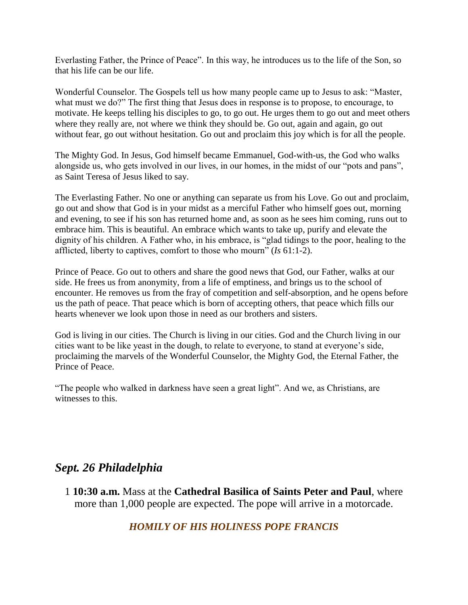Everlasting Father, the Prince of Peace". In this way, he introduces us to the life of the Son, so that his life can be our life.

Wonderful Counselor. The Gospels tell us how many people came up to Jesus to ask: "Master, what must we do?" The first thing that Jesus does in response is to propose, to encourage, to motivate. He keeps telling his disciples to go, to go out. He urges them to go out and meet others where they really are, not where we think they should be. Go out, again and again, go out without fear, go out without hesitation. Go out and proclaim this joy which is for all the people.

The Mighty God. In Jesus, God himself became Emmanuel, God-with-us, the God who walks alongside us, who gets involved in our lives, in our homes, in the midst of our "pots and pans", as Saint Teresa of Jesus liked to say.

The Everlasting Father. No one or anything can separate us from his Love. Go out and proclaim, go out and show that God is in your midst as a merciful Father who himself goes out, morning and evening, to see if his son has returned home and, as soon as he sees him coming, runs out to embrace him. This is beautiful. An embrace which wants to take up, purify and elevate the dignity of his children. A Father who, in his embrace, is "glad tidings to the poor, healing to the afflicted, liberty to captives, comfort to those who mourn" (*Is* 61:1-2).

Prince of Peace. Go out to others and share the good news that God, our Father, walks at our side. He frees us from anonymity, from a life of emptiness, and brings us to the school of encounter. He removes us from the fray of competition and self-absorption, and he opens before us the path of peace. That peace which is born of accepting others, that peace which fills our hearts whenever we look upon those in need as our brothers and sisters.

God is living in our cities. The Church is living in our cities. God and the Church living in our cities want to be like yeast in the dough, to relate to everyone, to stand at everyone's side, proclaiming the marvels of the Wonderful Counselor, the Mighty God, the Eternal Father, the Prince of Peace.

"The people who walked in darkness have seen a great light". And we, as Christians, are witnesses to this.

# *Sept. 26 Philadelphia*

1 **10:30 a.m.** Mass at the **Cathedral Basilica of Saints Peter and Paul**, where more than 1,000 people are expected. The pope will arrive in a motorcade.

# *HOMILY OF HIS HOLINESS POPE FRANCIS*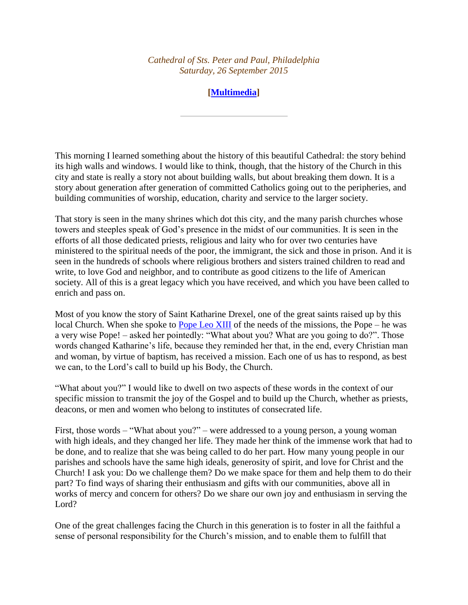*Cathedral of Sts. Peter and Paul, Philadelphia Saturday, 26 September 2015*

## **[\[Multimedia\]](http://w2.vatican.va/content/francesco/en/events/event.dir.html/content/vaticanevents/en/2015/9/26/omeliaphiladelphia.html)**

This morning I learned something about the history of this beautiful Cathedral: the story behind its high walls and windows. I would like to think, though, that the history of the Church in this city and state is really a story not about building walls, but about breaking them down. It is a story about generation after generation of committed Catholics going out to the peripheries, and building communities of worship, education, charity and service to the larger society.

That story is seen in the many shrines which dot this city, and the many parish churches whose towers and steeples speak of God's presence in the midst of our communities. It is seen in the efforts of all those dedicated priests, religious and laity who for over two centuries have ministered to the spiritual needs of the poor, the immigrant, the sick and those in prison. And it is seen in the hundreds of schools where religious brothers and sisters trained children to read and write, to love God and neighbor, and to contribute as good citizens to the life of American society. All of this is a great legacy which you have received, and which you have been called to enrich and pass on.

Most of you know the story of Saint Katharine Drexel, one of the great saints raised up by this local Church. When she spoke to [Pope Leo XIII](http://w2.vatican.va/content/leo-xiii/en.html) of the needs of the missions, the Pope – he was a very wise Pope! – asked her pointedly: "What about you? What are you going to do?". Those words changed Katharine's life, because they reminded her that, in the end, every Christian man and woman, by virtue of baptism, has received a mission. Each one of us has to respond, as best we can, to the Lord's call to build up his Body, the Church.

"What about you?" I would like to dwell on two aspects of these words in the context of our specific mission to transmit the joy of the Gospel and to build up the Church, whether as priests, deacons, or men and women who belong to institutes of consecrated life.

First, those words – "What about you?" – were addressed to a young person, a young woman with high ideals, and they changed her life. They made her think of the immense work that had to be done, and to realize that she was being called to do her part. How many young people in our parishes and schools have the same high ideals, generosity of spirit, and love for Christ and the Church! I ask you: Do we challenge them? Do we make space for them and help them to do their part? To find ways of sharing their enthusiasm and gifts with our communities, above all in works of mercy and concern for others? Do we share our own joy and enthusiasm in serving the Lord?

One of the great challenges facing the Church in this generation is to foster in all the faithful a sense of personal responsibility for the Church's mission, and to enable them to fulfill that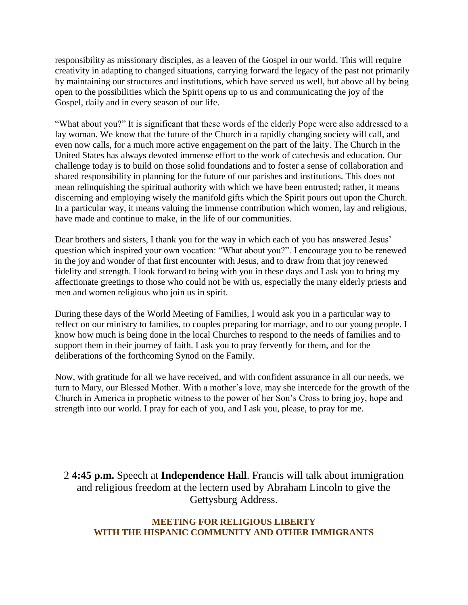responsibility as missionary disciples, as a leaven of the Gospel in our world. This will require creativity in adapting to changed situations, carrying forward the legacy of the past not primarily by maintaining our structures and institutions, which have served us well, but above all by being open to the possibilities which the Spirit opens up to us and communicating the joy of the Gospel, daily and in every season of our life.

"What about you?" It is significant that these words of the elderly Pope were also addressed to a lay woman. We know that the future of the Church in a rapidly changing society will call, and even now calls, for a much more active engagement on the part of the laity. The Church in the United States has always devoted immense effort to the work of catechesis and education. Our challenge today is to build on those solid foundations and to foster a sense of collaboration and shared responsibility in planning for the future of our parishes and institutions. This does not mean relinquishing the spiritual authority with which we have been entrusted; rather, it means discerning and employing wisely the manifold gifts which the Spirit pours out upon the Church. In a particular way, it means valuing the immense contribution which women, lay and religious, have made and continue to make, in the life of our communities.

Dear brothers and sisters, I thank you for the way in which each of you has answered Jesus' question which inspired your own vocation: "What about you?". I encourage you to be renewed in the joy and wonder of that first encounter with Jesus, and to draw from that joy renewed fidelity and strength. I look forward to being with you in these days and I ask you to bring my affectionate greetings to those who could not be with us, especially the many elderly priests and men and women religious who join us in spirit.

During these days of the World Meeting of Families, I would ask you in a particular way to reflect on our ministry to families, to couples preparing for marriage, and to our young people. I know how much is being done in the local Churches to respond to the needs of families and to support them in their journey of faith. I ask you to pray fervently for them, and for the deliberations of the forthcoming Synod on the Family.

Now, with gratitude for all we have received, and with confident assurance in all our needs, we turn to Mary, our Blessed Mother. With a mother's love, may she intercede for the growth of the Church in America in prophetic witness to the power of her Son's Cross to bring joy, hope and strength into our world. I pray for each of you, and I ask you, please, to pray for me.

2 **4:45 p.m.** Speech at **Independence Hall**. Francis will talk about immigration and religious freedom at the lectern used by Abraham Lincoln to give the Gettysburg Address.

## **MEETING FOR RELIGIOUS LIBERTY WITH THE HISPANIC COMMUNITY AND OTHER IMMIGRANTS**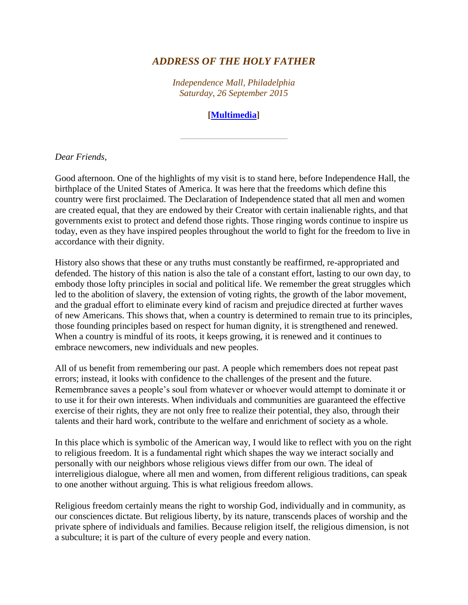## *ADDRESS OF THE HOLY FATHER*

*Independence Mall, Philadelphia Saturday, 26 September 2015*

#### **[\[Multimedia\]](http://w2.vatican.va/content/francesco/en/events/event.dir.html/content/vaticanevents/en/2015/9/26/usalibertareligiosa.html)**

#### *Dear Friends,*

Good afternoon. One of the highlights of my visit is to stand here, before Independence Hall, the birthplace of the United States of America. It was here that the freedoms which define this country were first proclaimed. The Declaration of Independence stated that all men and women are created equal, that they are endowed by their Creator with certain inalienable rights, and that governments exist to protect and defend those rights. Those ringing words continue to inspire us today, even as they have inspired peoples throughout the world to fight for the freedom to live in accordance with their dignity.

History also shows that these or any truths must constantly be reaffirmed, re-appropriated and defended. The history of this nation is also the tale of a constant effort, lasting to our own day, to embody those lofty principles in social and political life. We remember the great struggles which led to the abolition of slavery, the extension of voting rights, the growth of the labor movement, and the gradual effort to eliminate every kind of racism and prejudice directed at further waves of new Americans. This shows that, when a country is determined to remain true to its principles, those founding principles based on respect for human dignity, it is strengthened and renewed. When a country is mindful of its roots, it keeps growing, it is renewed and it continues to embrace newcomers, new individuals and new peoples.

All of us benefit from remembering our past. A people which remembers does not repeat past errors; instead, it looks with confidence to the challenges of the present and the future. Remembrance saves a people's soul from whatever or whoever would attempt to dominate it or to use it for their own interests. When individuals and communities are guaranteed the effective exercise of their rights, they are not only free to realize their potential, they also, through their talents and their hard work, contribute to the welfare and enrichment of society as a whole.

In this place which is symbolic of the American way, I would like to reflect with you on the right to religious freedom. It is a fundamental right which shapes the way we interact socially and personally with our neighbors whose religious views differ from our own. The ideal of interreligious dialogue, where all men and women, from different religious traditions, can speak to one another without arguing. This is what religious freedom allows.

Religious freedom certainly means the right to worship God, individually and in community, as our consciences dictate. But religious liberty, by its nature, transcends places of worship and the private sphere of individuals and families. Because religion itself, the religious dimension, is not a subculture; it is part of the culture of every people and every nation.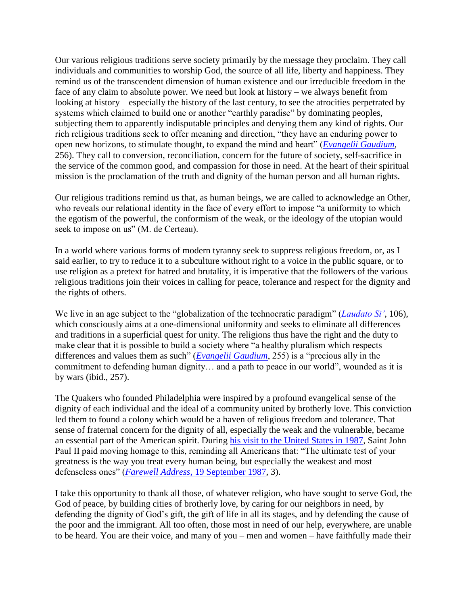Our various religious traditions serve society primarily by the message they proclaim. They call individuals and communities to worship God, the source of all life, liberty and happiness. They remind us of the transcendent dimension of human existence and our irreducible freedom in the face of any claim to absolute power. We need but look at history – we always benefit from looking at history – especially the history of the last century, to see the atrocities perpetrated by systems which claimed to build one or another "earthly paradise" by dominating peoples, subjecting them to apparently indisputable principles and denying them any kind of rights. Our rich religious traditions seek to offer meaning and direction, "they have an enduring power to open new horizons, to stimulate thought, to expand the mind and heart" (*[Evangelii Gaudium](http://w2.vatican.va/content/francesco/en/apost_exhortations/documents/papa-francesco_esortazione-ap_20131124_evangelii-gaudium.html)*, 256). They call to conversion, reconciliation, concern for the future of society, self-sacrifice in the service of the common good, and compassion for those in need. At the heart of their spiritual mission is the proclamation of the truth and dignity of the human person and all human rights.

Our religious traditions remind us that, as human beings, we are called to acknowledge an Other, who reveals our relational identity in the face of every effort to impose "a uniformity to which the egotism of the powerful, the conformism of the weak, or the ideology of the utopian would seek to impose on us" (M. de Certeau).

In a world where various forms of modern tyranny seek to suppress religious freedom, or, as I said earlier, to try to reduce it to a subculture without right to a voice in the public square, or to use religion as a pretext for hatred and brutality, it is imperative that the followers of the various religious traditions join their voices in calling for peace, tolerance and respect for the dignity and the rights of others.

We live in an age subject to the "globalization of the technocratic paradigm" (*[Laudato Si'](http://w2.vatican.va/content/francesco/en/encyclicals/documents/papa-francesco_20150524_enciclica-laudato-si.html)*, 106), which consciously aims at a one-dimensional uniformity and seeks to eliminate all differences and traditions in a superficial quest for unity. The religions thus have the right and the duty to make clear that it is possible to build a society where "a healthy pluralism which respects differences and values them as such" (*[Evangelii Gaudium](http://w2.vatican.va/content/francesco/en/apost_exhortations/documents/papa-francesco_esortazione-ap_20131124_evangelii-gaudium.html)*, 255) is a "precious ally in the commitment to defending human dignity… and a path to peace in our world", wounded as it is by wars (ibid., 257).

The Quakers who founded Philadelphia were inspired by a profound evangelical sense of the dignity of each individual and the ideal of a community united by brotherly love. This conviction led them to found a colony which would be a haven of religious freedom and tolerance. That sense of fraternal concern for the dignity of all, especially the weak and the vulnerable, became an essential part of the American spirit. During [his visit to the United States in 1987,](http://w2.vatican.va/content/john-paul-ii/en/travels/1987/travels/documents/trav_stati-uniti-canada.html) Saint John Paul II paid moving homage to this, reminding all Americans that: "The ultimate test of your greatness is the way you treat every human being, but especially the weakest and most defenseless ones" (*Farewell Address*[, 19 September 1987,](http://w2.vatican.va/content/john-paul-ii/en/speeches/1987/september/documents/hf_jp-ii_spe_19870919_congedo-stati-uniti.html) 3).

I take this opportunity to thank all those, of whatever religion, who have sought to serve God, the God of peace, by building cities of brotherly love, by caring for our neighbors in need, by defending the dignity of God's gift, the gift of life in all its stages, and by defending the cause of the poor and the immigrant. All too often, those most in need of our help, everywhere, are unable to be heard. You are their voice, and many of you – men and women – have faithfully made their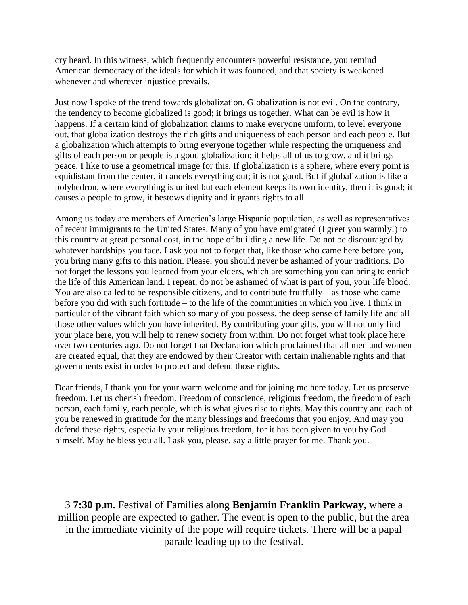cry heard. In this witness, which frequently encounters powerful resistance, you remind American democracy of the ideals for which it was founded, and that society is weakened whenever and wherever injustice prevails.

Just now I spoke of the trend towards globalization. Globalization is not evil. On the contrary, the tendency to become globalized is good; it brings us together. What can be evil is how it happens. If a certain kind of globalization claims to make everyone uniform, to level everyone out, that globalization destroys the rich gifts and uniqueness of each person and each people. But a globalization which attempts to bring everyone together while respecting the uniqueness and gifts of each person or people is a good globalization; it helps all of us to grow, and it brings peace. I like to use a geometrical image for this. If globalization is a sphere, where every point is equidistant from the center, it cancels everything out; it is not good. But if globalization is like a polyhedron, where everything is united but each element keeps its own identity, then it is good; it causes a people to grow, it bestows dignity and it grants rights to all.

Among us today are members of America's large Hispanic population, as well as representatives of recent immigrants to the United States. Many of you have emigrated (I greet you warmly!) to this country at great personal cost, in the hope of building a new life. Do not be discouraged by whatever hardships you face. I ask you not to forget that, like those who came here before you, you bring many gifts to this nation. Please, you should never be ashamed of your traditions. Do not forget the lessons you learned from your elders, which are something you can bring to enrich the life of this American land. I repeat, do not be ashamed of what is part of you, your life blood. You are also called to be responsible citizens, and to contribute fruitfully – as those who came before you did with such fortitude – to the life of the communities in which you live. I think in particular of the vibrant faith which so many of you possess, the deep sense of family life and all those other values which you have inherited. By contributing your gifts, you will not only find your place here, you will help to renew society from within. Do not forget what took place here over two centuries ago. Do not forget that Declaration which proclaimed that all men and women are created equal, that they are endowed by their Creator with certain inalienable rights and that governments exist in order to protect and defend those rights.

Dear friends, I thank you for your warm welcome and for joining me here today. Let us preserve freedom. Let us cherish freedom. Freedom of conscience, religious freedom, the freedom of each person, each family, each people, which is what gives rise to rights. May this country and each of you be renewed in gratitude for the many blessings and freedoms that you enjoy. And may you defend these rights, especially your religious freedom, for it has been given to you by God himself. May he bless you all. I ask you, please, say a little prayer for me. Thank you.

3 **7:30 p.m.** Festival of Families along **Benjamin Franklin Parkway**, where a million people are expected to gather. The event is open to the public, but the area in the immediate vicinity of the pope will require tickets. There will be a papal parade leading up to the festival.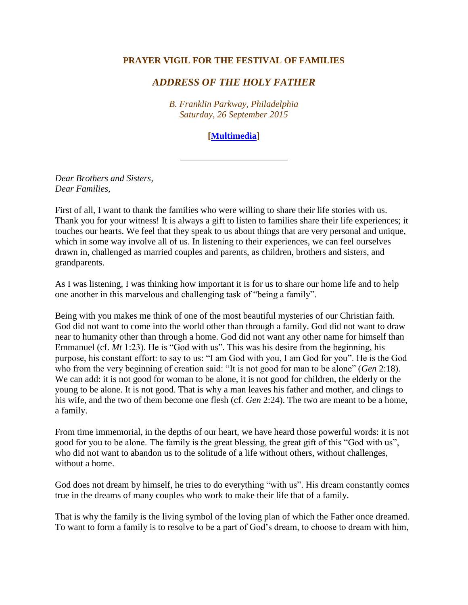#### **PRAYER VIGIL FOR THE FESTIVAL OF FAMILIES**

## *ADDRESS OF THE HOLY FATHER*

*B. Franklin Parkway, Philadelphia Saturday, 26 September 2015*

## **[\[Multimedia\]](http://w2.vatican.va/content/francesco/en/events/event.dir.html/content/vaticanevents/en/2015/9/26/usafamiglie.html)**

*Dear Brothers and Sisters, Dear Families,*

First of all, I want to thank the families who were willing to share their life stories with us. Thank you for your witness! It is always a gift to listen to families share their life experiences; it touches our hearts. We feel that they speak to us about things that are very personal and unique, which in some way involve all of us. In listening to their experiences, we can feel ourselves drawn in, challenged as married couples and parents, as children, brothers and sisters, and grandparents.

As I was listening, I was thinking how important it is for us to share our home life and to help one another in this marvelous and challenging task of "being a family".

Being with you makes me think of one of the most beautiful mysteries of our Christian faith. God did not want to come into the world other than through a family. God did not want to draw near to humanity other than through a home. God did not want any other name for himself than Emmanuel (cf. *Mt* 1:23). He is "God with us". This was his desire from the beginning, his purpose, his constant effort: to say to us: "I am God with you, I am God for you". He is the God who from the very beginning of creation said: "It is not good for man to be alone" (*Gen* 2:18). We can add: it is not good for woman to be alone, it is not good for children, the elderly or the young to be alone. It is not good. That is why a man leaves his father and mother, and clings to his wife, and the two of them become one flesh (cf. *Gen* 2:24). The two are meant to be a home, a family.

From time immemorial, in the depths of our heart, we have heard those powerful words: it is not good for you to be alone. The family is the great blessing, the great gift of this "God with us", who did not want to abandon us to the solitude of a life without others, without challenges, without a home.

God does not dream by himself, he tries to do everything "with us". His dream constantly comes true in the dreams of many couples who work to make their life that of a family.

That is why the family is the living symbol of the loving plan of which the Father once dreamed. To want to form a family is to resolve to be a part of God's dream, to choose to dream with him,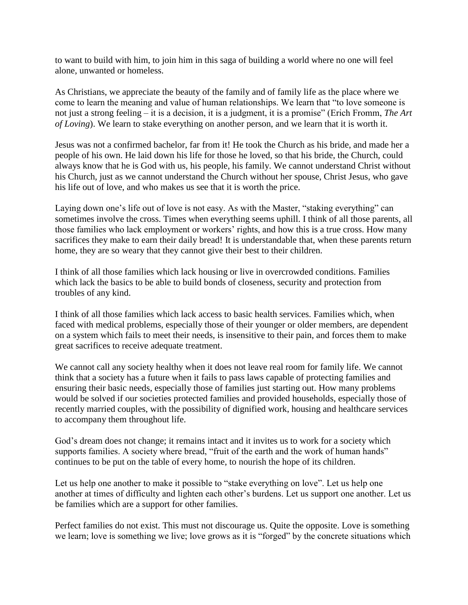to want to build with him, to join him in this saga of building a world where no one will feel alone, unwanted or homeless.

As Christians, we appreciate the beauty of the family and of family life as the place where we come to learn the meaning and value of human relationships. We learn that "to love someone is not just a strong feeling – it is a decision, it is a judgment, it is a promise" (Erich Fromm, *The Art of Loving*). We learn to stake everything on another person, and we learn that it is worth it.

Jesus was not a confirmed bachelor, far from it! He took the Church as his bride, and made her a people of his own. He laid down his life for those he loved, so that his bride, the Church, could always know that he is God with us, his people, his family. We cannot understand Christ without his Church, just as we cannot understand the Church without her spouse, Christ Jesus, who gave his life out of love, and who makes us see that it is worth the price.

Laying down one's life out of love is not easy. As with the Master, "staking everything" can sometimes involve the cross. Times when everything seems uphill. I think of all those parents, all those families who lack employment or workers' rights, and how this is a true cross. How many sacrifices they make to earn their daily bread! It is understandable that, when these parents return home, they are so weary that they cannot give their best to their children.

I think of all those families which lack housing or live in overcrowded conditions. Families which lack the basics to be able to build bonds of closeness, security and protection from troubles of any kind.

I think of all those families which lack access to basic health services. Families which, when faced with medical problems, especially those of their younger or older members, are dependent on a system which fails to meet their needs, is insensitive to their pain, and forces them to make great sacrifices to receive adequate treatment.

We cannot call any society healthy when it does not leave real room for family life. We cannot think that a society has a future when it fails to pass laws capable of protecting families and ensuring their basic needs, especially those of families just starting out. How many problems would be solved if our societies protected families and provided households, especially those of recently married couples, with the possibility of dignified work, housing and healthcare services to accompany them throughout life.

God's dream does not change; it remains intact and it invites us to work for a society which supports families. A society where bread, "fruit of the earth and the work of human hands" continues to be put on the table of every home, to nourish the hope of its children.

Let us help one another to make it possible to "stake everything on love". Let us help one another at times of difficulty and lighten each other's burdens. Let us support one another. Let us be families which are a support for other families.

Perfect families do not exist. This must not discourage us. Quite the opposite. Love is something we learn; love is something we live; love grows as it is "forged" by the concrete situations which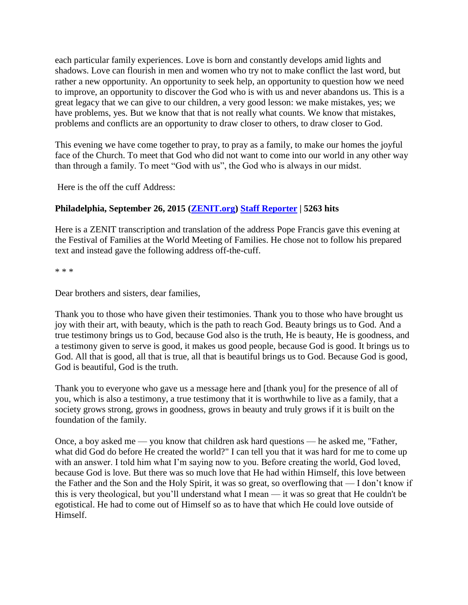each particular family experiences. Love is born and constantly develops amid lights and shadows. Love can flourish in men and women who try not to make conflict the last word, but rather a new opportunity. An opportunity to seek help, an opportunity to question how we need to improve, an opportunity to discover the God who is with us and never abandons us. This is a great legacy that we can give to our children, a very good lesson: we make mistakes, yes; we have problems, yes. But we know that that is not really what counts. We know that mistakes, problems and conflicts are an opportunity to draw closer to others, to draw closer to God.

This evening we have come together to pray, to pray as a family, to make our homes the joyful face of the Church. To meet that God who did not want to come into our world in any other way than through a family. To meet "God with us", the God who is always in our midst.

Here is the off the cuff Address:

## **Philadelphia, September 26, 2015 [\(ZENIT.org\)](http://www.zenit.org/) [Staff Reporter](http://www.zenit.org/en/authors/staff-reporter) | 5263 hits**

Here is a ZENIT transcription and translation of the address Pope Francis gave this evening at the Festival of Families at the World Meeting of Families. He chose not to follow his prepared text and instead gave the following address off-the-cuff.

\* \* \*

Dear brothers and sisters, dear families,

Thank you to those who have given their testimonies. Thank you to those who have brought us joy with their art, with beauty, which is the path to reach God. Beauty brings us to God. And a true testimony brings us to God, because God also is the truth, He is beauty, He is goodness, and a testimony given to serve is good, it makes us good people, because God is good. It brings us to God. All that is good, all that is true, all that is beautiful brings us to God. Because God is good, God is beautiful, God is the truth.

Thank you to everyone who gave us a message here and [thank you] for the presence of all of you, which is also a testimony, a true testimony that it is worthwhile to live as a family, that a society grows strong, grows in goodness, grows in beauty and truly grows if it is built on the foundation of the family.

Once, a boy asked me — you know that children ask hard questions — he asked me, "Father, what did God do before He created the world?" I can tell you that it was hard for me to come up with an answer. I told him what I'm saying now to you. Before creating the world, God loved, because God is love. But there was so much love that He had within Himself, this love between the Father and the Son and the Holy Spirit, it was so great, so overflowing that — I don't know if this is very theological, but you'll understand what I mean — it was so great that He couldn't be egotistical. He had to come out of Himself so as to have that which He could love outside of Himself.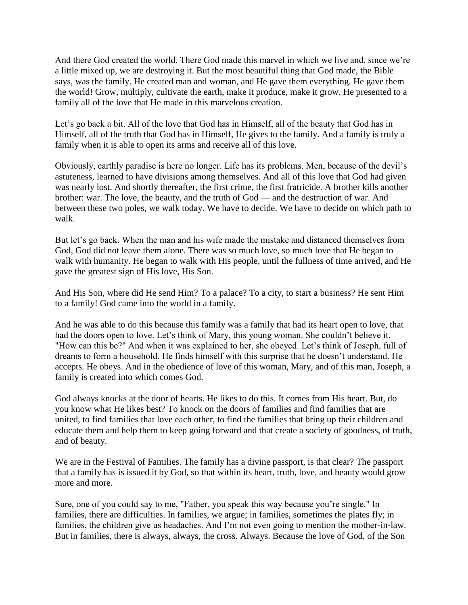And there God created the world. There God made this marvel in which we live and, since we're a little mixed up, we are destroying it. But the most beautiful thing that God made, the Bible says, was the family. He created man and woman, and He gave them everything. He gave them the world! Grow, multiply, cultivate the earth, make it produce, make it grow. He presented to a family all of the love that He made in this marvelous creation.

Let's go back a bit. All of the love that God has in Himself, all of the beauty that God has in Himself, all of the truth that God has in Himself, He gives to the family. And a family is truly a family when it is able to open its arms and receive all of this love.

Obviously, earthly paradise is here no longer. Life has its problems. Men, because of the devil's astuteness, learned to have divisions among themselves. And all of this love that God had given was nearly lost. And shortly thereafter, the first crime, the first fratricide. A brother kills another brother: war. The love, the beauty, and the truth of God — and the destruction of war. And between these two poles, we walk today. We have to decide. We have to decide on which path to walk.

But let's go back. When the man and his wife made the mistake and distanced themselves from God, God did not leave them alone. There was so much love, so much love that He began to walk with humanity. He began to walk with His people, until the fullness of time arrived, and He gave the greatest sign of His love, His Son.

And His Son, where did He send Him? To a palace? To a city, to start a business? He sent Him to a family! God came into the world in a family.

And he was able to do this because this family was a family that had its heart open to love, that had the doors open to love. Let's think of Mary, this young woman. She couldn't believe it. "How can this be?" And when it was explained to her, she obeyed. Let's think of Joseph, full of dreams to form a household. He finds himself with this surprise that he doesn't understand. He accepts. He obeys. And in the obedience of love of this woman, Mary, and of this man, Joseph, a family is created into which comes God.

God always knocks at the door of hearts. He likes to do this. It comes from His heart. But, do you know what He likes best? To knock on the doors of families and find families that are united, to find families that love each other, to find the families that bring up their children and educate them and help them to keep going forward and that create a society of goodness, of truth, and of beauty.

We are in the Festival of Families. The family has a divine passport, is that clear? The passport that a family has is issued it by God, so that within its heart, truth, love, and beauty would grow more and more.

Sure, one of you could say to me, "Father, you speak this way because you're single." In families, there are difficulties. In families, we argue; in families, sometimes the plates fly; in families, the children give us headaches. And I'm not even going to mention the mother-in-law. But in families, there is always, always, the cross. Always. Because the love of God, of the Son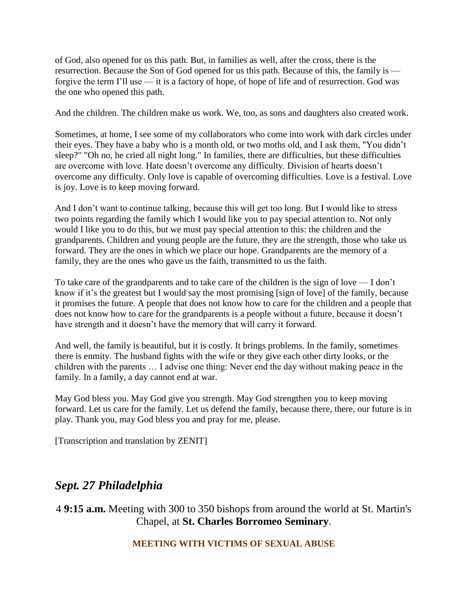of God, also opened for us this path. But, in families as well, after the cross, there is the resurrection. Because the Son of God opened for us this path. Because of this, the family is forgive the term I'll use — it is a factory of hope, of hope of life and of resurrection. God was the one who opened this path.

And the children. The children make us work. We, too, as sons and daughters also created work.

Sometimes, at home, I see some of my collaborators who come into work with dark circles under their eyes. They have a baby who is a month old, or two moths old, and I ask them, "You didn't sleep?" "Oh no, he cried all night long." In families, there are difficulties, but these difficulties are overcome with love. Hate doesn't overcome any difficulty. Division of hearts doesn't overcome any difficulty. Only love is capable of overcoming difficulties. Love is a festival. Love is joy. Love is to keep moving forward.

And I don't want to continue talking, because this will get too long. But I would like to stress two points regarding the family which I would like you to pay special attention to. Not only would I like you to do this, but we must pay special attention to this: the children and the grandparents. Children and young people are the future, they are the strength, those who take us forward. They are the ones in which we place our hope. Grandparents are the memory of a family, they are the ones who gave us the faith, transmitted to us the faith.

To take care of the grandparents and to take care of the children is the sign of love — I don't know if it's the greatest but I would say the most promising [sign of love] of the family, because it promises the future. A people that does not know how to care for the children and a people that does not know how to care for the grandparents is a people without a future, because it doesn't have strength and it doesn't have the memory that will carry it forward.

And well, the family is beautiful, but it is costly. It brings problems. In the family, sometimes there is enmity. The husband fights with the wife or they give each other dirty looks, or the children with the parents … I advise one thing: Never end the day without making peace in the family. In a family, a day cannot end at war.

May God bless you. May God give you strength. May God strengthen you to keep moving forward. Let us care for the family. Let us defend the family, because there, there, our future is in play. Thank you, may God bless you and pray for me, please.

[Transcription and translation by ZENIT]

# *Sept. 27 Philadelphia*

4 **9:15 a.m.** Meeting with 300 to 350 bishops from around the world at St. Martin's Chapel, at **St. Charles Borromeo Seminary**.

#### **MEETING WITH VICTIMS OF SEXUAL ABUSE**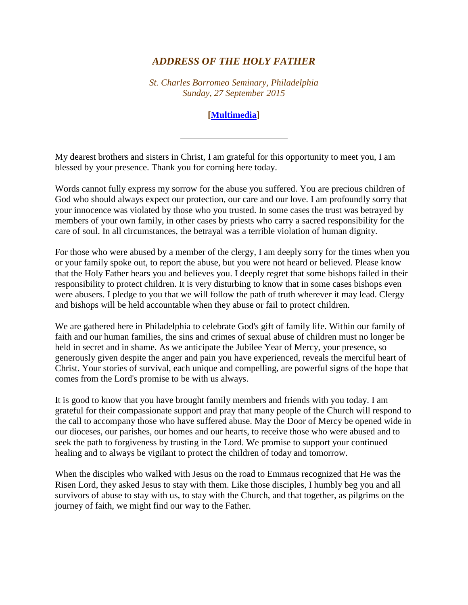## *ADDRESS OF THE HOLY FATHER*

*St. Charles Borromeo Seminary, Philadelphia Sunday, 27 September 2015*

#### **[\[Multimedia\]](http://w2.vatican.va/content/francesco/en/events/event.dir.html/content/vaticanevents/en/2015/9/27/usavittimeabusi.html)**

My dearest brothers and sisters in Christ, I am grateful for this opportunity to meet you, I am blessed by your presence. Thank you for corning here today.

Words cannot fully express my sorrow for the abuse you suffered. You are precious children of God who should always expect our protection, our care and our love. I am profoundly sorry that your innocence was violated by those who you trusted. In some cases the trust was betrayed by members of your own family, in other cases by priests who carry a sacred responsibility for the care of soul. In all circumstances, the betrayal was a terrible violation of human dignity.

For those who were abused by a member of the clergy, I am deeply sorry for the times when you or your family spoke out, to report the abuse, but you were not heard or believed. Please know that the Holy Father hears you and believes you. I deeply regret that some bishops failed in their responsibility to protect children. It is very disturbing to know that in some cases bishops even were abusers. I pledge to you that we will follow the path of truth wherever it may lead. Clergy and bishops will be held accountable when they abuse or fail to protect children.

We are gathered here in Philadelphia to celebrate God's gift of family life. Within our family of faith and our human families, the sins and crimes of sexual abuse of children must no longer be held in secret and in shame. As we anticipate the Jubilee Year of Mercy, your presence, so generously given despite the anger and pain you have experienced, reveals the merciful heart of Christ. Your stories of survival, each unique and compelling, are powerful signs of the hope that comes from the Lord's promise to be with us always.

It is good to know that you have brought family members and friends with you today. I am grateful for their compassionate support and pray that many people of the Church will respond to the call to accompany those who have suffered abuse. May the Door of Mercy be opened wide in our dioceses, our parishes, our homes and our hearts, to receive those who were abused and to seek the path to forgiveness by trusting in the Lord. We promise to support your continued healing and to always be vigilant to protect the children of today and tomorrow.

When the disciples who walked with Jesus on the road to Emmaus recognized that He was the Risen Lord, they asked Jesus to stay with them. Like those disciples, I humbly beg you and all survivors of abuse to stay with us, to stay with the Church, and that together, as pilgrims on the journey of faith, we might find our way to the Father.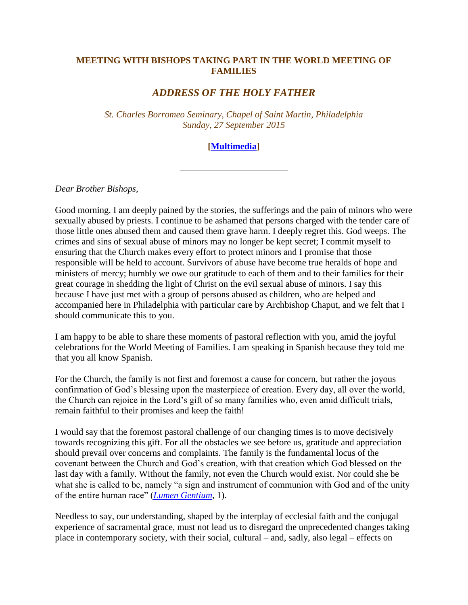#### **MEETING WITH BISHOPS TAKING PART IN THE WORLD MEETING OF FAMILIES**

## *ADDRESS OF THE HOLY FATHER*

*St. Charles Borromeo Seminary, Chapel of Saint Martin, Philadelphia Sunday, 27 September 2015*

## **[\[Multimedia\]](http://w2.vatican.va/content/francesco/en/events/event.dir.html/content/vaticanevents/en/2015/9/27/usavescovifesta.html)**

#### *Dear Brother Bishops,*

Good morning. I am deeply pained by the stories, the sufferings and the pain of minors who were sexually abused by priests. I continue to be ashamed that persons charged with the tender care of those little ones abused them and caused them grave harm. I deeply regret this. God weeps. The crimes and sins of sexual abuse of minors may no longer be kept secret; I commit myself to ensuring that the Church makes every effort to protect minors and I promise that those responsible will be held to account. Survivors of abuse have become true heralds of hope and ministers of mercy; humbly we owe our gratitude to each of them and to their families for their great courage in shedding the light of Christ on the evil sexual abuse of minors. I say this because I have just met with a group of persons abused as children, who are helped and accompanied here in Philadelphia with particular care by Archbishop Chaput, and we felt that I should communicate this to you.

I am happy to be able to share these moments of pastoral reflection with you, amid the joyful celebrations for the World Meeting of Families. I am speaking in Spanish because they told me that you all know Spanish.

For the Church, the family is not first and foremost a cause for concern, but rather the joyous confirmation of God's blessing upon the masterpiece of creation. Every day, all over the world, the Church can rejoice in the Lord's gift of so many families who, even amid difficult trials, remain faithful to their promises and keep the faith!

I would say that the foremost pastoral challenge of our changing times is to move decisively towards recognizing this gift. For all the obstacles we see before us, gratitude and appreciation should prevail over concerns and complaints. The family is the fundamental locus of the covenant between the Church and God's creation, with that creation which God blessed on the last day with a family. Without the family, not even the Church would exist. Nor could she be what she is called to be, namely "a sign and instrument of communion with God and of the unity of the entire human race" (*[Lumen Gentium](http://www.vatican.va/archive/hist_councils/ii_vatican_council/documents/vat-ii_const_19641121_lumen-gentium_en.html)*, 1).

Needless to say, our understanding, shaped by the interplay of ecclesial faith and the conjugal experience of sacramental grace, must not lead us to disregard the unprecedented changes taking place in contemporary society, with their social, cultural – and, sadly, also legal – effects on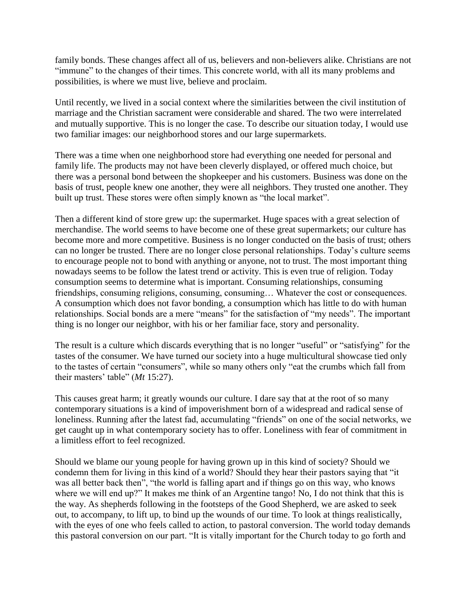family bonds. These changes affect all of us, believers and non-believers alike. Christians are not "immune" to the changes of their times. This concrete world, with all its many problems and possibilities, is where we must live, believe and proclaim.

Until recently, we lived in a social context where the similarities between the civil institution of marriage and the Christian sacrament were considerable and shared. The two were interrelated and mutually supportive. This is no longer the case. To describe our situation today, I would use two familiar images: our neighborhood stores and our large supermarkets.

There was a time when one neighborhood store had everything one needed for personal and family life. The products may not have been cleverly displayed, or offered much choice, but there was a personal bond between the shopkeeper and his customers. Business was done on the basis of trust, people knew one another, they were all neighbors. They trusted one another. They built up trust. These stores were often simply known as "the local market".

Then a different kind of store grew up: the supermarket. Huge spaces with a great selection of merchandise. The world seems to have become one of these great supermarkets; our culture has become more and more competitive. Business is no longer conducted on the basis of trust; others can no longer be trusted. There are no longer close personal relationships. Today's culture seems to encourage people not to bond with anything or anyone, not to trust. The most important thing nowadays seems to be follow the latest trend or activity. This is even true of religion. Today consumption seems to determine what is important. Consuming relationships, consuming friendships, consuming religions, consuming, consuming… Whatever the cost or consequences. A consumption which does not favor bonding, a consumption which has little to do with human relationships. Social bonds are a mere "means" for the satisfaction of "my needs". The important thing is no longer our neighbor, with his or her familiar face, story and personality.

The result is a culture which discards everything that is no longer "useful" or "satisfying" for the tastes of the consumer. We have turned our society into a huge multicultural showcase tied only to the tastes of certain "consumers", while so many others only "eat the crumbs which fall from their masters' table" (*Mt* 15:27).

This causes great harm; it greatly wounds our culture. I dare say that at the root of so many contemporary situations is a kind of impoverishment born of a widespread and radical sense of loneliness. Running after the latest fad, accumulating "friends" on one of the social networks, we get caught up in what contemporary society has to offer. Loneliness with fear of commitment in a limitless effort to feel recognized.

Should we blame our young people for having grown up in this kind of society? Should we condemn them for living in this kind of a world? Should they hear their pastors saying that "it was all better back then", "the world is falling apart and if things go on this way, who knows where we will end up?" It makes me think of an Argentine tango! No, I do not think that this is the way. As shepherds following in the footsteps of the Good Shepherd, we are asked to seek out, to accompany, to lift up, to bind up the wounds of our time. To look at things realistically, with the eyes of one who feels called to action, to pastoral conversion. The world today demands this pastoral conversion on our part. "It is vitally important for the Church today to go forth and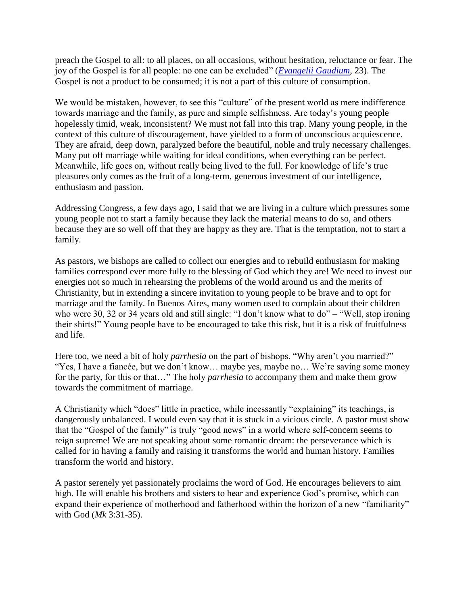preach the Gospel to all: to all places, on all occasions, without hesitation, reluctance or fear. The joy of the Gospel is for all people: no one can be excluded" (*[Evangelii Gaudium](http://w2.vatican.va/content/francesco/en/apost_exhortations/documents/papa-francesco_esortazione-ap_20131124_evangelii-gaudium.html)*, 23). The Gospel is not a product to be consumed; it is not a part of this culture of consumption.

We would be mistaken, however, to see this "culture" of the present world as mere indifference towards marriage and the family, as pure and simple selfishness. Are today's young people hopelessly timid, weak, inconsistent? We must not fall into this trap. Many young people, in the context of this culture of discouragement, have yielded to a form of unconscious acquiescence. They are afraid, deep down, paralyzed before the beautiful, noble and truly necessary challenges. Many put off marriage while waiting for ideal conditions, when everything can be perfect. Meanwhile, life goes on, without really being lived to the full. For knowledge of life's true pleasures only comes as the fruit of a long-term, generous investment of our intelligence, enthusiasm and passion.

Addressing Congress, a few days ago, I said that we are living in a culture which pressures some young people not to start a family because they lack the material means to do so, and others because they are so well off that they are happy as they are. That is the temptation, not to start a family.

As pastors, we bishops are called to collect our energies and to rebuild enthusiasm for making families correspond ever more fully to the blessing of God which they are! We need to invest our energies not so much in rehearsing the problems of the world around us and the merits of Christianity, but in extending a sincere invitation to young people to be brave and to opt for marriage and the family. In Buenos Aires, many women used to complain about their children who were 30, 32 or 34 years old and still single: "I don't know what to do" – "Well, stop ironing their shirts!" Young people have to be encouraged to take this risk, but it is a risk of fruitfulness and life.

Here too, we need a bit of holy *parrhesia* on the part of bishops. "Why aren't you married?" "Yes, I have a fiancée, but we don't know… maybe yes, maybe no… We're saving some money for the party, for this or that…" The holy *parrhesia* to accompany them and make them grow towards the commitment of marriage.

A Christianity which "does" little in practice, while incessantly "explaining" its teachings, is dangerously unbalanced. I would even say that it is stuck in a vicious circle. A pastor must show that the "Gospel of the family" is truly "good news" in a world where self-concern seems to reign supreme! We are not speaking about some romantic dream: the perseverance which is called for in having a family and raising it transforms the world and human history. Families transform the world and history.

A pastor serenely yet passionately proclaims the word of God. He encourages believers to aim high. He will enable his brothers and sisters to hear and experience God's promise, which can expand their experience of motherhood and fatherhood within the horizon of a new "familiarity" with God (*Mk* 3:31-35).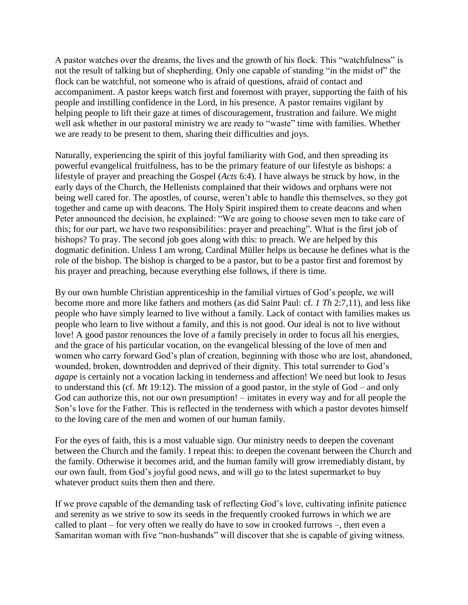A pastor watches over the dreams, the lives and the growth of his flock. This "watchfulness" is not the result of talking but of shepherding. Only one capable of standing "in the midst of" the flock can be watchful, not someone who is afraid of questions, afraid of contact and accompaniment. A pastor keeps watch first and foremost with prayer, supporting the faith of his people and instilling confidence in the Lord, in his presence. A pastor remains vigilant by helping people to lift their gaze at times of discouragement, frustration and failure. We might well ask whether in our pastoral ministry we are ready to "waste" time with families. Whether we are ready to be present to them, sharing their difficulties and joys.

Naturally, experiencing the spirit of this joyful familiarity with God, and then spreading its powerful evangelical fruitfulness, has to be the primary feature of our lifestyle as bishops: a lifestyle of prayer and preaching the Gospel (*Acts* 6:4). I have always be struck by how, in the early days of the Church, the Hellenists complained that their widows and orphans were not being well cared for. The apostles, of course, weren't able to handle this themselves, so they got together and came up with deacons. The Holy Spirit inspired them to create deacons and when Peter announced the decision, he explained: "We are going to choose seven men to take care of this; for our part, we have two responsibilities: prayer and preaching". What is the first job of bishops? To pray. The second job goes along with this: to preach. We are helped by this dogmatic definition. Unless I am wrong, Cardinal Müller helps us because he defines what is the role of the bishop. The bishop is charged to be a pastor, but to be a pastor first and foremost by his prayer and preaching, because everything else follows, if there is time.

By our own humble Christian apprenticeship in the familial virtues of God's people, we will become more and more like fathers and mothers (as did Saint Paul: cf. *1 Th* 2:7,11), and less like people who have simply learned to live without a family. Lack of contact with families makes us people who learn to live without a family, and this is not good. Our ideal is not to live without love! A good pastor renounces the love of a family precisely in order to focus all his energies, and the grace of his particular vocation, on the evangelical blessing of the love of men and women who carry forward God's plan of creation, beginning with those who are lost, abandoned, wounded, broken, downtrodden and deprived of their dignity. This total surrender to God's *agape* is certainly not a vocation lacking in tenderness and affection! We need but look to Jesus to understand this (cf. *Mt* 19:12). The mission of a good pastor, in the style of God – and only God can authorize this, not our own presumption! – imitates in every way and for all people the Son's love for the Father. This is reflected in the tenderness with which a pastor devotes himself to the loving care of the men and women of our human family.

For the eyes of faith, this is a most valuable sign. Our ministry needs to deepen the covenant between the Church and the family. I repeat this: to deepen the covenant between the Church and the family. Otherwise it becomes arid, and the human family will grow irremediably distant, by our own fault, from God's joyful good news, and will go to the latest supermarket to buy whatever product suits them then and there.

If we prove capable of the demanding task of reflecting God's love, cultivating infinite patience and serenity as we strive to sow its seeds in the frequently crooked furrows in which we are called to plant – for very often we really do have to sow in crooked furrows –, then even a Samaritan woman with five "non-husbands" will discover that she is capable of giving witness.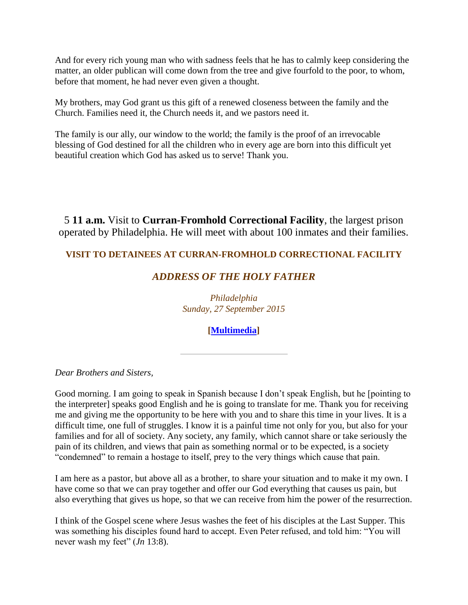And for every rich young man who with sadness feels that he has to calmly keep considering the matter, an older publican will come down from the tree and give fourfold to the poor, to whom, before that moment, he had never even given a thought.

My brothers, may God grant us this gift of a renewed closeness between the family and the Church. Families need it, the Church needs it, and we pastors need it.

The family is our ally, our window to the world; the family is the proof of an irrevocable blessing of God destined for all the children who in every age are born into this difficult yet beautiful creation which God has asked us to serve! Thank you.

5 **11 a.m.** Visit to **Curran-Fromhold Correctional Facility**, the largest prison operated by Philadelphia. He will meet with about 100 inmates and their families.

## **VISIT TO DETAINEES AT CURRAN-FROMHOLD CORRECTIONAL FACILITY**

# *ADDRESS OF THE HOLY FATHER*

*Philadelphia Sunday, 27 September 2015*

**[\[Multimedia\]](http://w2.vatican.va/content/francesco/en/events/event.dir.html/content/vaticanevents/en/2015/9/27/usadetenuti.html)**

*Dear Brothers and Sisters,*

Good morning. I am going to speak in Spanish because I don't speak English, but he [pointing to the interpreter] speaks good English and he is going to translate for me. Thank you for receiving me and giving me the opportunity to be here with you and to share this time in your lives. It is a difficult time, one full of struggles. I know it is a painful time not only for you, but also for your families and for all of society. Any society, any family, which cannot share or take seriously the pain of its children, and views that pain as something normal or to be expected, is a society "condemned" to remain a hostage to itself, prey to the very things which cause that pain.

I am here as a pastor, but above all as a brother, to share your situation and to make it my own. I have come so that we can pray together and offer our God everything that causes us pain, but also everything that gives us hope, so that we can receive from him the power of the resurrection.

I think of the Gospel scene where Jesus washes the feet of his disciples at the Last Supper. This was something his disciples found hard to accept. Even Peter refused, and told him: "You will never wash my feet" (*Jn* 13:8).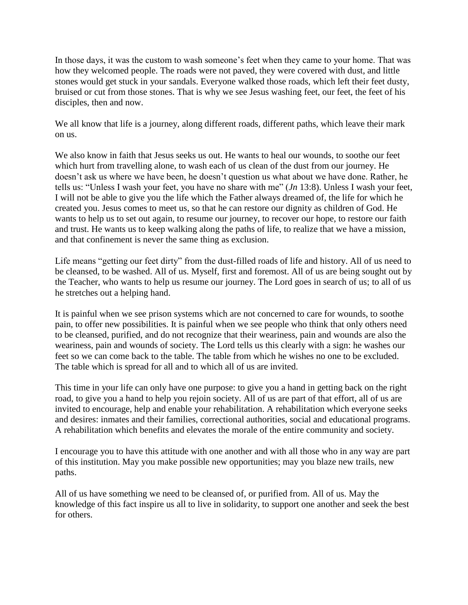In those days, it was the custom to wash someone's feet when they came to your home. That was how they welcomed people. The roads were not paved, they were covered with dust, and little stones would get stuck in your sandals. Everyone walked those roads, which left their feet dusty, bruised or cut from those stones. That is why we see Jesus washing feet, our feet, the feet of his disciples, then and now.

We all know that life is a journey, along different roads, different paths, which leave their mark on us.

We also know in faith that Jesus seeks us out. He wants to heal our wounds, to soothe our feet which hurt from travelling alone, to wash each of us clean of the dust from our journey. He doesn't ask us where we have been, he doesn't question us what about we have done. Rather, he tells us: "Unless I wash your feet, you have no share with me" (*Jn* 13:8). Unless I wash your feet, I will not be able to give you the life which the Father always dreamed of, the life for which he created you. Jesus comes to meet us, so that he can restore our dignity as children of God. He wants to help us to set out again, to resume our journey, to recover our hope, to restore our faith and trust. He wants us to keep walking along the paths of life, to realize that we have a mission, and that confinement is never the same thing as exclusion.

Life means "getting our feet dirty" from the dust-filled roads of life and history. All of us need to be cleansed, to be washed. All of us. Myself, first and foremost. All of us are being sought out by the Teacher, who wants to help us resume our journey. The Lord goes in search of us; to all of us he stretches out a helping hand.

It is painful when we see prison systems which are not concerned to care for wounds, to soothe pain, to offer new possibilities. It is painful when we see people who think that only others need to be cleansed, purified, and do not recognize that their weariness, pain and wounds are also the weariness, pain and wounds of society. The Lord tells us this clearly with a sign: he washes our feet so we can come back to the table. The table from which he wishes no one to be excluded. The table which is spread for all and to which all of us are invited.

This time in your life can only have one purpose: to give you a hand in getting back on the right road, to give you a hand to help you rejoin society. All of us are part of that effort, all of us are invited to encourage, help and enable your rehabilitation. A rehabilitation which everyone seeks and desires: inmates and their families, correctional authorities, social and educational programs. A rehabilitation which benefits and elevates the morale of the entire community and society.

I encourage you to have this attitude with one another and with all those who in any way are part of this institution. May you make possible new opportunities; may you blaze new trails, new paths.

All of us have something we need to be cleansed of, or purified from. All of us. May the knowledge of this fact inspire us all to live in solidarity, to support one another and seek the best for others.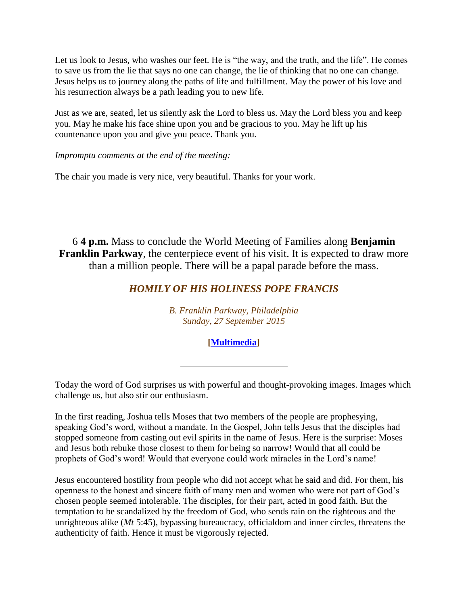Let us look to Jesus, who washes our feet. He is "the way, and the truth, and the life". He comes to save us from the lie that says no one can change, the lie of thinking that no one can change. Jesus helps us to journey along the paths of life and fulfillment. May the power of his love and his resurrection always be a path leading you to new life.

Just as we are, seated, let us silently ask the Lord to bless us. May the Lord bless you and keep you. May he make his face shine upon you and be gracious to you. May he lift up his countenance upon you and give you peace. Thank you.

*Impromptu comments at the end of the meeting:*

The chair you made is very nice, very beautiful. Thanks for your work.

6 **4 p.m.** Mass to conclude the World Meeting of Families along **Benjamin Franklin Parkway**, the centerpiece event of his visit. It is expected to draw more than a million people. There will be a papal parade before the mass.

# *HOMILY OF HIS HOLINESS POPE FRANCIS*

*B. Franklin Parkway, Philadelphia Sunday, 27 September 2015*

**[\[Multimedia\]](http://w2.vatican.va/content/francesco/en/events/event.dir.html/content/vaticanevents/en/2015/9/27/omeliafamiglie.html)**

Today the word of God surprises us with powerful and thought-provoking images. Images which challenge us, but also stir our enthusiasm.

In the first reading, Joshua tells Moses that two members of the people are prophesying, speaking God's word, without a mandate. In the Gospel, John tells Jesus that the disciples had stopped someone from casting out evil spirits in the name of Jesus. Here is the surprise: Moses and Jesus both rebuke those closest to them for being so narrow! Would that all could be prophets of God's word! Would that everyone could work miracles in the Lord's name!

Jesus encountered hostility from people who did not accept what he said and did. For them, his openness to the honest and sincere faith of many men and women who were not part of God's chosen people seemed intolerable. The disciples, for their part, acted in good faith. But the temptation to be scandalized by the freedom of God, who sends rain on the righteous and the unrighteous alike (*Mt* 5:45), bypassing bureaucracy, officialdom and inner circles, threatens the authenticity of faith. Hence it must be vigorously rejected.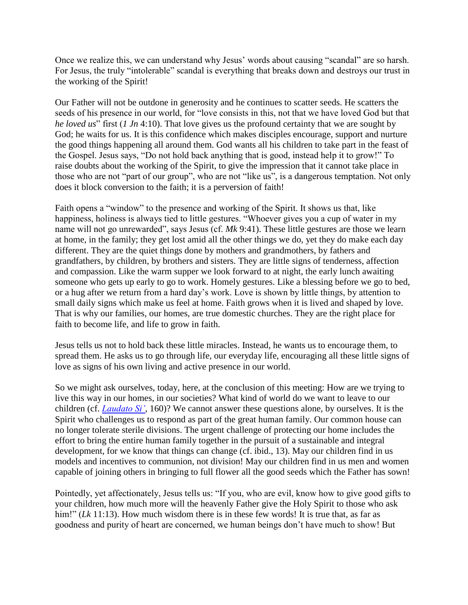Once we realize this, we can understand why Jesus' words about causing "scandal" are so harsh. For Jesus, the truly "intolerable" scandal is everything that breaks down and destroys our trust in the working of the Spirit!

Our Father will not be outdone in generosity and he continues to scatter seeds. He scatters the seeds of his presence in our world, for "love consists in this, not that we have loved God but that *he loved us*" first (*1 Jn* 4:10). That love gives us the profound certainty that we are sought by God; he waits for us. It is this confidence which makes disciples encourage, support and nurture the good things happening all around them. God wants all his children to take part in the feast of the Gospel. Jesus says, "Do not hold back anything that is good, instead help it to grow!" To raise doubts about the working of the Spirit, to give the impression that it cannot take place in those who are not "part of our group", who are not "like us", is a dangerous temptation. Not only does it block conversion to the faith; it is a perversion of faith!

Faith opens a "window" to the presence and working of the Spirit. It shows us that, like happiness, holiness is always tied to little gestures. "Whoever gives you a cup of water in my name will not go unrewarded", says Jesus (cf. *Mk* 9:41). These little gestures are those we learn at home, in the family; they get lost amid all the other things we do, yet they do make each day different. They are the quiet things done by mothers and grandmothers, by fathers and grandfathers, by children, by brothers and sisters. They are little signs of tenderness, affection and compassion. Like the warm supper we look forward to at night, the early lunch awaiting someone who gets up early to go to work. Homely gestures. Like a blessing before we go to bed, or a hug after we return from a hard day's work. Love is shown by little things, by attention to small daily signs which make us feel at home. Faith grows when it is lived and shaped by love. That is why our families, our homes, are true domestic churches. They are the right place for faith to become life, and life to grow in faith.

Jesus tells us not to hold back these little miracles. Instead, he wants us to encourage them, to spread them. He asks us to go through life, our everyday life, encouraging all these little signs of love as signs of his own living and active presence in our world.

So we might ask ourselves, today, here, at the conclusion of this meeting: How are we trying to live this way in our homes, in our societies? What kind of world do we want to leave to our children (cf. *[Laudato Si'](http://w2.vatican.va/content/francesco/en/encyclicals/documents/papa-francesco_20150524_enciclica-laudato-si.html)*, 160)? We cannot answer these questions alone, by ourselves. It is the Spirit who challenges us to respond as part of the great human family. Our common house can no longer tolerate sterile divisions. The urgent challenge of protecting our home includes the effort to bring the entire human family together in the pursuit of a sustainable and integral development, for we know that things can change (cf. ibid., 13). May our children find in us models and incentives to communion, not division! May our children find in us men and women capable of joining others in bringing to full flower all the good seeds which the Father has sown!

Pointedly, yet affectionately, Jesus tells us: "If you, who are evil, know how to give good gifts to your children, how much more will the heavenly Father give the Holy Spirit to those who ask him!" (*Lk* 11:13). How much wisdom there is in these few words! It is true that, as far as goodness and purity of heart are concerned, we human beings don't have much to show! But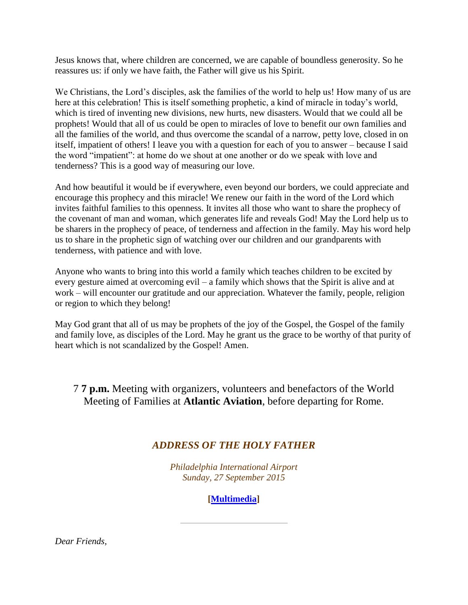Jesus knows that, where children are concerned, we are capable of boundless generosity. So he reassures us: if only we have faith, the Father will give us his Spirit.

We Christians, the Lord's disciples, ask the families of the world to help us! How many of us are here at this celebration! This is itself something prophetic, a kind of miracle in today's world, which is tired of inventing new divisions, new hurts, new disasters. Would that we could all be prophets! Would that all of us could be open to miracles of love to benefit our own families and all the families of the world, and thus overcome the scandal of a narrow, petty love, closed in on itself, impatient of others! I leave you with a question for each of you to answer – because I said the word "impatient": at home do we shout at one another or do we speak with love and tenderness? This is a good way of measuring our love.

And how beautiful it would be if everywhere, even beyond our borders, we could appreciate and encourage this prophecy and this miracle! We renew our faith in the word of the Lord which invites faithful families to this openness. It invites all those who want to share the prophecy of the covenant of man and woman, which generates life and reveals God! May the Lord help us to be sharers in the prophecy of peace, of tenderness and affection in the family. May his word help us to share in the prophetic sign of watching over our children and our grandparents with tenderness, with patience and with love.

Anyone who wants to bring into this world a family which teaches children to be excited by every gesture aimed at overcoming evil – a family which shows that the Spirit is alive and at work – will encounter our gratitude and our appreciation. Whatever the family, people, religion or region to which they belong!

May God grant that all of us may be prophets of the joy of the Gospel, the Gospel of the family and family love, as disciples of the Lord. May he grant us the grace to be worthy of that purity of heart which is not scandalized by the Gospel! Amen.

# 7 **7 p.m.** Meeting with organizers, volunteers and benefactors of the World Meeting of Families at **Atlantic Aviation**, before departing for Rome.

# *ADDRESS OF THE HOLY FATHER*

*Philadelphia International Airport Sunday, 27 September 2015*

# **[\[Multimedia\]](http://w2.vatican.va/content/francesco/en/events/event.dir.html/content/vaticanevents/en/2015/9/27/usacomitato.html)**

*Dear Friends,*